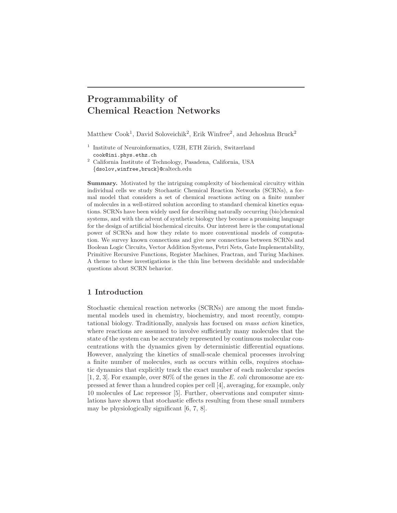# Programmability of Chemical Reaction Networks

Matthew Cook<sup>1</sup>, David Soloveichik<sup>2</sup>, Erik Winfree<sup>2</sup>, and Jehoshua Bruck<sup>2</sup>

- <sup>1</sup> Institute of Neuroinformatics, UZH, ETH Zürich, Switzerland cook@ini.phys.ethz.ch
- $^{\rm 2}$  California Institute of Technology, Pasadena, California, USA {dsolov,winfree,bruck}@caltech.edu

Summary. Motivated by the intriguing complexity of biochemical circuitry within individual cells we study Stochastic Chemical Reaction Networks (SCRNs), a formal model that considers a set of chemical reactions acting on a finite number of molecules in a well-stirred solution according to standard chemical kinetics equations. SCRNs have been widely used for describing naturally occurring (bio)chemical systems, and with the advent of synthetic biology they become a promising language for the design of artificial biochemical circuits. Our interest here is the computational power of SCRNs and how they relate to more conventional models of computation. We survey known connections and give new connections between SCRNs and Boolean Logic Circuits, Vector Addition Systems, Petri Nets, Gate Implementability, Primitive Recursive Functions, Register Machines, Fractran, and Turing Machines. A theme to these investigations is the thin line between decidable and undecidable questions about SCRN behavior.

## 1 Introduction

Stochastic chemical reaction networks (SCRNs) are among the most fundamental models used in chemistry, biochemistry, and most recently, computational biology. Traditionally, analysis has focused on mass action kinetics, where reactions are assumed to involve sufficiently many molecules that the state of the system can be accurately represented by continuous molecular concentrations with the dynamics given by deterministic differential equations. However, analyzing the kinetics of small-scale chemical processes involving a finite number of molecules, such as occurs within cells, requires stochastic dynamics that explicitly track the exact number of each molecular species  $[1, 2, 3]$ . For example, over 80% of the genes in the E. coli chromosome are expressed at fewer than a hundred copies per cell [4], averaging, for example, only 10 molecules of Lac repressor [5]. Further, observations and computer simulations have shown that stochastic effects resulting from these small numbers may be physiologically significant [6, 7, 8].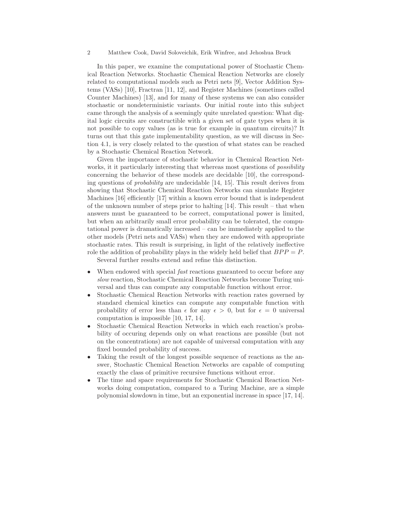In this paper, we examine the computational power of Stochastic Chemical Reaction Networks. Stochastic Chemical Reaction Networks are closely related to computational models such as Petri nets [9], Vector Addition Systems (VASs) [10], Fractran [11, 12], and Register Machines (sometimes called Counter Machines) [13], and for many of these systems we can also consider stochastic or nondeterministic variants. Our initial route into this subject came through the analysis of a seemingly quite unrelated question: What digital logic circuits are constructible with a given set of gate types when it is not possible to copy values (as is true for example in quantum circuits)? It turns out that this gate implementability question, as we will discuss in Section 4.1, is very closely related to the question of what states can be reached by a Stochastic Chemical Reaction Network.

Given the importance of stochastic behavior in Chemical Reaction Networks, it it particularly interesting that whereas most questions of *possibility* concerning the behavior of these models are decidable [10], the corresponding questions of probability are undecidable [14, 15]. This result derives from showing that Stochastic Chemical Reaction Networks can simulate Register Machines [16] efficiently [17] within a known error bound that is independent of the unknown number of steps prior to halting [14]. This result – that when answers must be guaranteed to be correct, computational power is limited, but when an arbitrarily small error probability can be tolerated, the computational power is dramatically increased – can be immediately applied to the other models (Petri nets and VASs) when they are endowed with appropriate stochastic rates. This result is surprising, in light of the relatively ineffective role the addition of probability plays in the widely held belief that  $BPP = P$ . Several further results extend and refine this distinction.

• When endowed with special *fast* reactions guaranteed to occur before any slow reaction, Stochastic Chemical Reaction Networks become Turing uni-

versal and thus can compute any computable function without error. • Stochastic Chemical Reaction Networks with reaction rates governed by standard chemical kinetics can compute any computable function with

probability of error less than  $\epsilon$  for any  $\epsilon > 0$ , but for  $\epsilon = 0$  universal computation is impossible [10, 17, 14].

- Stochastic Chemical Reaction Networks in which each reaction's probability of occuring depends only on what reactions are possible (but not on the concentrations) are not capable of universal computation with any fixed bounded probability of success.
- Taking the result of the longest possible sequence of reactions as the answer, Stochastic Chemical Reaction Networks are capable of computing exactly the class of primitive recursive functions without error.
- The time and space requirements for Stochastic Chemical Reaction Networks doing computation, compared to a Turing Machine, are a simple polynomial slowdown in time, but an exponential increase in space [17, 14].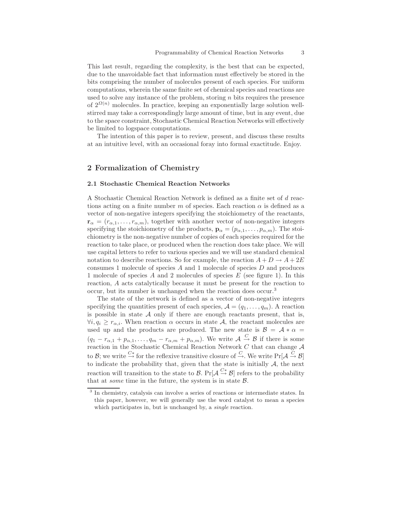This last result, regarding the complexity, is the best that can be expected, due to the unavoidable fact that information must effectively be stored in the bits comprising the number of molecules present of each species. For uniform computations, wherein the same finite set of chemical species and reactions are used to solve any instance of the problem, storing  $n$  bits requires the presence of  $2^{\Omega(n)}$  molecules. In practice, keeping an exponentially large solution wellstirred may take a correspondingly large amount of time, but in any event, due to the space constraint, Stochastic Chemical Reaction Networks will effectively be limited to logspace computations.

The intention of this paper is to review, present, and discuss these results at an intuitive level, with an occasional foray into formal exactitude. Enjoy.

## 2 Formalization of Chemistry

#### 2.1 Stochastic Chemical Reaction Networks

A Stochastic Chemical Reaction Network is defined as a finite set of d reactions acting on a finite number m of species. Each reaction  $\alpha$  is defined as a vector of non-negative integers specifying the stoichiometry of the reactants,  $\mathbf{r}_{\alpha} = (r_{\alpha,1}, \ldots, r_{\alpha,m})$ , together with another vector of non-negative integers specifying the stoichiometry of the products,  $\mathbf{p}_{\alpha} = (p_{\alpha,1}, \ldots, p_{\alpha,m})$ . The stoichiometry is the non-negative number of copies of each species required for the reaction to take place, or produced when the reaction does take place. We will use capital letters to refer to various species and we will use standard chemical notation to describe reactions. So for example, the reaction  $A + D \rightarrow A + 2E$ consumes 1 molecule of species A and 1 molecule of species D and produces 1 molecule of species  $A$  and 2 molecules of species  $E$  (see figure 1). In this reaction, A acts catalytically because it must be present for the reaction to occur, but its number is unchanged when the reaction does occur.<sup>3</sup>

The state of the network is defined as a vector of non-negative integers specifying the quantities present of each species,  $\mathcal{A} = (q_1, \ldots, q_m)$ . A reaction is possible in state  $A$  only if there are enough reactants present, that is,  $\forall i, q_i \geq r_{\alpha,i}$ . When reaction  $\alpha$  occurs in state A, the reactant molecules are used up and the products are produced. The new state is  $\mathcal{B} = \mathcal{A} * \alpha =$  $(q_1 - r_{\alpha,1} + p_{\alpha,1}, \ldots, q_m - r_{\alpha,m} + p_{\alpha,m})$ . We write  $\mathcal{A} \stackrel{C}{\rightarrow} \mathcal{B}$  if there is some reaction in the Stochastic Chemical Reaction Network  $C$  that can change  $A$ to B; we write  $\stackrel{C_*}{\to}$  for the reflexive transitive closure of  $\stackrel{C}{\to}$ . We write  $Pr[\mathcal{A} \stackrel{C}{\to} \mathcal{B}]$ to indicate the probability that, given that the state is initially  $A$ , the next reaction will transition to the state to B.  $Pr[\mathcal{A} \overset{C*}{\to} \mathcal{B}]$  refers to the probability that at *some* time in the future, the system is in state  $\beta$ .

<sup>&</sup>lt;sup>3</sup> In chemistry, catalysis can involve a series of reactions or intermediate states. In this paper, however, we will generally use the word catalyst to mean a species which participates in, but is unchanged by, a *single* reaction.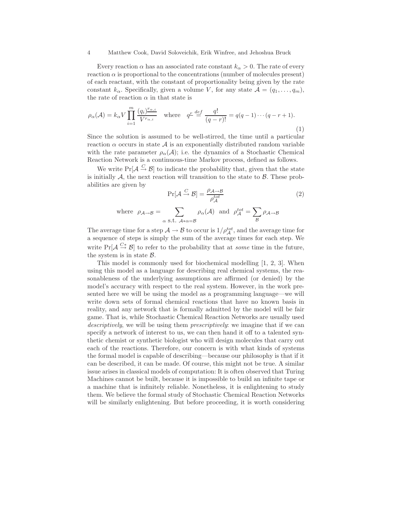Every reaction  $\alpha$  has an associated rate constant  $k_{\alpha} > 0$ . The rate of every reaction  $\alpha$  is proportional to the concentrations (number of molecules present) of each reactant, with the constant of proportionality being given by the rate constant  $k_{\alpha}$ . Specifically, given a volume V, for any state  $\mathcal{A} = (q_1, \ldots, q_m)$ , the rate of reaction  $\alpha$  in that state is

$$
\rho_{\alpha}(\mathcal{A}) = k_{\alpha} V \prod_{i=1}^{m} \frac{(q_i)^{r_{\alpha,i}}}{V^{r_{\alpha,i}}} \quad \text{where} \quad q^{\underline{r}} \stackrel{\text{def}}{=} \frac{q!}{(q-r)!} = q(q-1)\cdots(q-r+1). \tag{1}
$$

Since the solution is assumed to be well-stirred, the time until a particular reaction  $\alpha$  occurs in state  $\mathcal A$  is an exponentially distributed random variable with the rate parameter  $\rho_{\alpha}(A)$ ; i.e. the dynamics of a Stochastic Chemical Reaction Network is a continuous-time Markov process, defined as follows.

We write  $Pr[\mathcal{A} \stackrel{C}{\rightarrow} \mathcal{B}]$  to indicate the probability that, given that the state is initially  $A$ , the next reaction will transition to the state to  $B$ . These probabilities are given by

$$
\Pr[\mathcal{A} \stackrel{C}{\to} \mathcal{B}] = \frac{\rho_{\mathcal{A} \to \mathcal{B}}}{\rho_{\mathcal{A}}^{tot}} \tag{2}
$$

where 
$$
\rho_{\mathcal{A}\to\mathcal{B}} = \sum_{\alpha \text{ s.t. } \mathcal{A}*\alpha=\mathcal{B}} \rho_{\alpha}(\mathcal{A})
$$
 and  $\rho_{\mathcal{A}}^{tot} = \sum_{\mathcal{B}} \rho_{\mathcal{A}\to\mathcal{B}}$ 

The average time for a step  $A \to B$  to occur is  $1/\rho_A^{tot}$ , and the average time for a sequence of steps is simply the sum of the average times for each step. We write  $Pr[\mathcal{A} \stackrel{C*}{\to} \mathcal{B}]$  to refer to the probability that at *some* time in the future, the system is in state  $\beta$ .

This model is commonly used for biochemical modelling [1, 2, 3]. When using this model as a language for describing real chemical systems, the reasonableness of the underlying assumptions are affirmed (or denied) by the model's accuracy with respect to the real system. However, in the work presented here we will be using the model as a programming language—we will write down sets of formal chemical reactions that have no known basis in reality, and any network that is formally admitted by the model will be fair game. That is, while Stochastic Chemical Reaction Networks are usually used descriptively, we will be using them *prescriptively*: we imagine that if we can specify a network of interest to us, we can then hand it off to a talented synthetic chemist or synthetic biologist who will design molecules that carry out each of the reactions. Therefore, our concern is with what kinds of systems the formal model is capable of describing—because our philosophy is that if it can be described, it can be made. Of course, this might not be true. A similar issue arises in classical models of computation: It is often observed that Turing Machines cannot be built, because it is impossible to build an infinite tape or a machine that is infinitely reliable. Nonetheless, it is enlightening to study them. We believe the formal study of Stochastic Chemical Reaction Networks will be similarly enlightening. But before proceeding, it is worth considering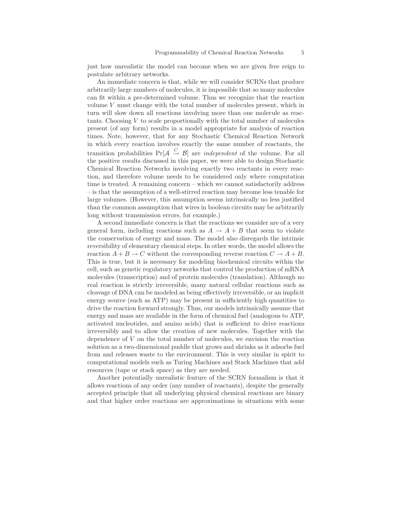just how unrealistic the model can become when we are given free reign to postulate arbitrary networks.

An immediate concern is that, while we will consider SCRNs that produce arbitrarily large numbers of molecules, it is impossible that so many molecules can fit within a pre-determined volume. Thus we recognize that the reaction volume V must change with the total number of molecules present, which in turn will slow down all reactions involving more than one molecule as reactants. Choosing V to scale proportionally with the total number of molecules present (of any form) results in a model appropriate for analysis of reaction times. Note, however, that for any Stochastic Chemical Reaction Network in which every reaction involves exactly the same number of reactants, the transition probabilities  $Pr[A \stackrel{C}{\rightarrow} B]$  are *independent* of the volume. For all the positive results discussed in this paper, we were able to design Stochastic Chemical Reaction Networks involving exactly two reactants in every reaction, and therefore volume needs to be considered only where computation time is treated. A remaining concern – which we cannot satisfactorily address – is that the assumption of a well-stirred reaction may become less tenable for large volumes. (However, this assumption seems intrinsically no less justified than the common assumption that wires in boolean circuits may be arbitrarily long without transmission errors, for example.)

A second immediate concern is that the reactions we consider are of a very general form, including reactions such as  $A \rightarrow A + B$  that seem to violate the conservation of energy and mass. The model also disregards the intrinsic reversibility of elementary chemical steps. In other words, the model allows the reaction  $A + B \to C$  without the corresponding reverse reaction  $C \to A + B$ . This is true, but it is necessary for modeling biochemical circuits within the cell, such as genetic regulatory networks that control the production of mRNA molecules (transcription) and of protein molecules (translation). Although no real reaction is strictly irreversible, many natural cellular reactions such as cleavage of DNA can be modeled as being effectively irreversible, or an implicit energy source (such as ATP) may be present in sufficiently high quantities to drive the reaction forward strongly. Thus, our models intrinsically assume that energy and mass are available in the form of chemical fuel (analogous to ATP, activated nucleotides, and amino acids) that is sufficient to drive reactions irreversibly and to allow the creation of new molecules. Together with the dependence of V on the total number of molecules, we envision the reaction solution as a two-dimensional puddle that grows and shrinks as it adsorbs fuel from and releases waste to the environment. This is very similar in spirit to computational models such as Turing Machines and Stack Machines that add resources (tape or stack space) as they are needed.

Another potentially unrealistic feature of the SCRN formalism is that it allows reactions of any order (any number of reactants), despite the generally accepted principle that all underlying physical chemical reactions are binary and that higher order reactions are approximations in situations with some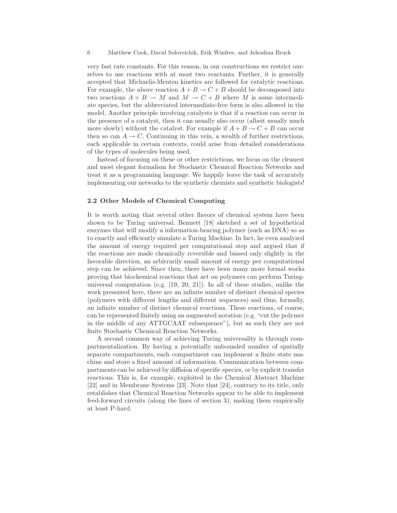very fast rate constants. For this reason, in our constructions we restrict ourselves to use reactions with at most two reactants. Further, it is generally accepted that Michaelis-Menten kinetics are followed for catalytic reactions. For example, the above reaction  $A + B \to C + B$  should be decomposed into two reactions  $A + B \rightarrow M$  and  $M \rightarrow C + B$  where M is some intermediate species, but the abbreviated intermediate-free form is also allowed in the model. Another principle involving catalysts is that if a reaction can occur in the presence of a catalyst, then it can usually also occur (albeit usually much more slowly) without the catalyst. For example if  $A + B \rightarrow C + B$  can occur then so can  $A \to C$ . Continuing in this vein, a wealth of further restrictions, each applicable in certain contexts, could arise from detailed considerations of the types of molecules being used.

Instead of focusing on these or other restrictions, we focus on the cleanest and most elegant formalism for Stochastic Chemical Reaction Networks and treat it as a programming language. We happily leave the task of accurately implementing our networks to the synthetic chemists and synthetic biologists!

#### 2.2 Other Models of Chemical Computing

It is worth noting that several other flavors of chemical system have been shown to be Turing universal. Bennett [18] sketched a set of hypothetical enzymes that will modify a information-bearing polymer (such as DNA) so as to exactly and efficiently simulate a Turing Machine. In fact, he even analyzed the amount of energy required per computational step and argued that if the reactions are made chemically reversible and biased only slightly in the favorable direction, an arbitrarily small amount of energy per computational step can be achieved. Since then, there have been many more formal works proving that biochemical reactions that act on polymers can perform Turinguniversal computation (e.g. [19, 20, 21]). In all of these studies, unlike the work presented here, there are an infinite number of distinct chemical species (polymers with different lengths and different sequences) and thus, formally, an infinite number of distinct chemical reactions. These reactions, of course, can be represented finitely using an augmented notation (e.g. "cut the polymer in the middle of any ATTGCAAT subsequence"), but as such they are not finite Stochastic Chemical Reaction Networks.

A second common way of achieving Turing universality is through compartmentalization. By having a potentially unbounded number of spatially separate compartments, each compartment can implement a finite state machine and store a fixed amount of information. Communication between compartments can be achieved by diffision of specific species, or by explicit transfer reactions. This is, for example, exploited in the Chemical Abstract Machine [22] and in Membrane Systems [23]. Note that [24], contrary to its title, only establishes that Chemical Reaction Networks appear to be able to implement feed-forward circuits (along the lines of section 3), making them empirically at least P-hard.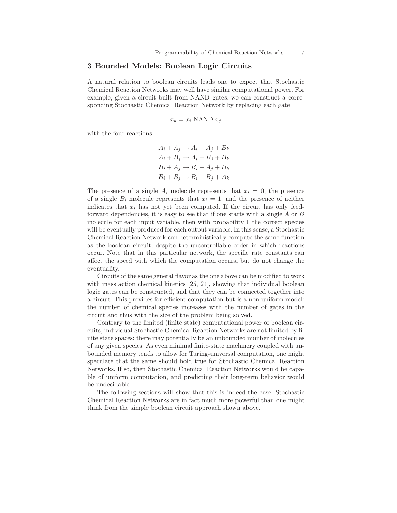### 3 Bounded Models: Boolean Logic Circuits

A natural relation to boolean circuits leads one to expect that Stochastic Chemical Reaction Networks may well have similar computational power. For example, given a circuit built from NAND gates, we can construct a corresponding Stochastic Chemical Reaction Network by replacing each gate

$$
x_k = x_i \text{ NAND } x_j
$$

with the four reactions

$$
A_i + A_j \rightarrow A_i + A_j + B_k
$$
  
\n
$$
A_i + B_j \rightarrow A_i + B_j + B_k
$$
  
\n
$$
B_i + A_j \rightarrow B_i + A_j + B_k
$$
  
\n
$$
B_i + B_j \rightarrow B_i + B_j + A_k
$$

The presence of a single  $A_i$  molecule represents that  $x_i = 0$ , the presence of a single  $B_i$  molecule represents that  $x_i = 1$ , and the presence of neither indicates that  $x_i$  has not yet been computed. If the circuit has only feedforward dependencies, it is easy to see that if one starts with a single  $A$  or  $B$ molecule for each input variable, then with probability 1 the correct species will be eventually produced for each output variable. In this sense, a Stochastic Chemical Reaction Network can deterministically compute the same function as the boolean circuit, despite the uncontrollable order in which reactions occur. Note that in this particular network, the specific rate constants can affect the speed with which the computation occurs, but do not change the eventuality.

Circuits of the same general flavor as the one above can be modified to work with mass action chemical kinetics [25, 24], showing that individual boolean logic gates can be constructed, and that they can be connected together into a circuit. This provides for efficient computation but is a non-uniform model: the number of chemical species increases with the number of gates in the circuit and thus with the size of the problem being solved.

Contrary to the limited (finite state) computational power of boolean circuits, individual Stochastic Chemical Reaction Networks are not limited by finite state spaces: there may potentially be an unbounded number of molecules of any given species. As even minimal finite-state machinery coupled with unbounded memory tends to allow for Turing-universal computation, one might speculate that the same should hold true for Stochastic Chemical Reaction Networks. If so, then Stochastic Chemical Reaction Networks would be capable of uniform computation, and predicting their long-term behavior would be undecidable.

The following sections will show that this is indeed the case. Stochastic Chemical Reaction Networks are in fact much more powerful than one might think from the simple boolean circuit approach shown above.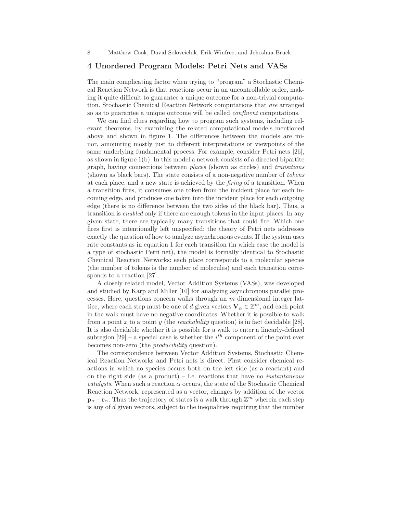## 4 Unordered Program Models: Petri Nets and VASs

The main complicating factor when trying to "program" a Stochastic Chemical Reaction Network is that reactions occur in an uncontrollable order, making it quite difficult to guarantee a unique outcome for a non-trivial computation. Stochastic Chemical Reaction Network computations that are arranged so as to guarantee a unique outcome will be called *confluent* computations.

We can find clues regarding how to program such systems, including relevant theorems, by examining the related computational models mentioned above and shown in figure 1. The differences between the models are minor, amounting mostly just to different interpretations or viewpoints of the same underlying fundamental process. For example, consider Petri nets [26], as shown in figure 1(b). In this model a network consists of a directed bipartite graph, having connections between places (shown as circles) and transitions (shown as black bars). The state consists of a non-negative number of tokens at each place, and a new state is achieved by the firing of a transition. When a transition fires, it consumes one token from the incident place for each incoming edge, and produces one token into the incident place for each outgoing edge (there is no difference between the two sides of the black bar). Thus, a transition is enabled only if there are enough tokens in the input places. In any given state, there are typically many transitions that could fire. Which one fires first is intentionally left unspecified: the theory of Petri nets addresses exactly the question of how to analyze asynchronous events. If the system uses rate constants as in equation 1 for each transition (in which case the model is a type of stochastic Petri net), the model is formally identical to Stochastic Chemical Reaction Networks: each place corresponds to a molecular species (the number of tokens is the number of molecules) and each transition corresponds to a reaction [27].

A closely related model, Vector Addition Systems (VASs), was developed and studied by Karp and Miller [10] for analyzing asynchronous parallel processes. Here, questions concern walks through an m dimensional integer lattice, where each step must be one of d given vectors  $\mathbf{V}_{\alpha} \in \mathbb{Z}^m$ , and each point in the walk must have no negative coordinates. Whether it is possible to walk from a point x to a point y (the reachability question) is in fact decidable [28]. It is also decidable whether it is possible for a walk to enter a linearly-defined subregion  $[29]$  – a special case is whether the  $i^{th}$  component of the point ever becomes non-zero (the producibility question).

The correspondence between Vector Addition Systems, Stochastic Chemical Reaction Networks and Petri nets is direct. First consider chemical reactions in which no species occurs both on the left side (as a reactant) and on the right side (as a product) – i.e. reactions that have no *instantaneous* catalysts. When such a reaction  $\alpha$  occurs, the state of the Stochastic Chemical Reaction Network, represented as a vector, changes by addition of the vector  $\mathbf{p}_{\alpha} - \mathbf{r}_{\alpha}$ . Thus the trajectory of states is a walk through  $\mathbb{Z}^{m}$  wherein each step is any of d given vectors, subject to the inequalities requiring that the number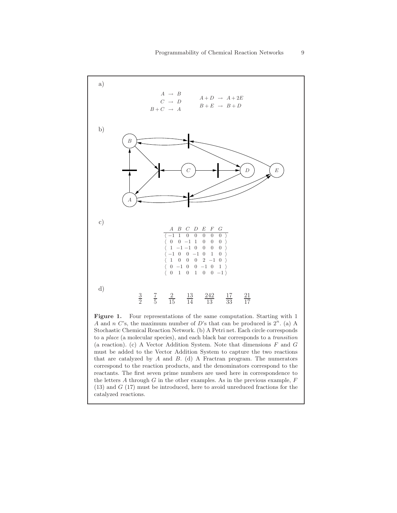

that are catalyzed by  $A$  and  $B$ . (d)  $A$  Fractran program. The numerators correspond to the reaction products, and the denominators correspond to the reactants. The first seven prime numbers are used here in correspondence to the letters  $A$  through  $G$  in the other examples. As in the previous example,  $F$ (13) and G (17) must be introduced, here to avoid unreduced fractions for the catalyzed reactions.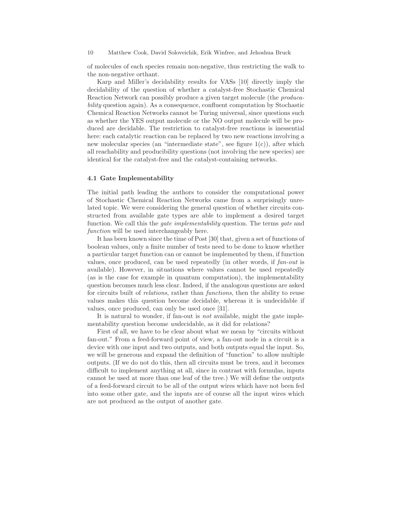of molecules of each species remain non-negative, thus restricting the walk to the non-negative orthant.

Karp and Miller's decidability results for VASs [10] directly imply the decidability of the question of whether a catalyst-free Stochastic Chemical Reaction Network can possibly produce a given target molecule (the producability question again). As a consequence, confluent computation by Stochastic Chemical Reaction Networks cannot be Turing universal, since questions such as whether the YES output molecule or the NO output molecule will be produced are decidable. The restriction to catalyst-free reactions is inessential here: each catalytic reaction can be replaced by two new reactions involving a new molecular species (an "intermediate state", see figure 1(c)), after which all reachability and producibility questions (not involving the new species) are identical for the catalyst-free and the catalyst-containing networks.

## 4.1 Gate Implementability

The initial path leading the authors to consider the computational power of Stochastic Chemical Reaction Networks came from a surprisingly unrelated topic. We were considering the general question of whether circuits constructed from available gate types are able to implement a desired target function. We call this the *gate implementability* question. The terms *gate* and function will be used interchangeably here.

It has been known since the time of Post [30] that, given a set of functions of boolean values, only a finite number of tests need to be done to know whether a particular target function can or cannot be implemented by them, if function values, once produced, can be used repeatedly (in other words, if fan-out is available). However, in situations where values cannot be used repeatedly (as is the case for example in quantum computation), the implementability question becomes much less clear. Indeed, if the analogous questions are asked for circuits built of relations, rather than functions, then the ability to reuse values makes this question become decidable, whereas it is undecidable if values, once produced, can only be used once [31].

It is natural to wonder, if fan-out is not available, might the gate implementability question become undecidable, as it did for relations?

First of all, we have to be clear about what we mean by "circuits without fan-out." From a feed-forward point of view, a fan-out node in a circuit is a device with one input and two outputs, and both outputs equal the input. So, we will be generous and expand the definition of "function" to allow multiple outputs. (If we do not do this, then all circuits must be trees, and it becomes difficult to implement anything at all, since in contrast with formulas, inputs cannot be used at more than one leaf of the tree.) We will define the outputs of a feed-forward circuit to be all of the output wires which have not been fed into some other gate, and the inputs are of course all the input wires which are not produced as the output of another gate.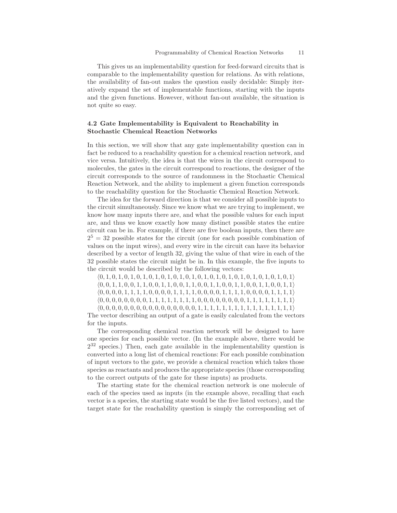This gives us an implementability question for feed-forward circuits that is comparable to the implementability question for relations. As with relations, the availability of fan-out makes the question easily decidable: Simply iteratively expand the set of implementable functions, starting with the inputs and the given functions. However, without fan-out available, the situation is not quite so easy.

## 4.2 Gate Implementability is Equivalent to Reachability in Stochastic Chemical Reaction Networks

In this section, we will show that any gate implementability question can in fact be reduced to a reachability question for a chemical reaction network, and vice versa. Intuitively, the idea is that the wires in the circuit correspond to molecules, the gates in the circuit correspond to reactions, the designer of the circuit corresponds to the source of randomness in the Stochastic Chemical Reaction Network, and the ability to implement a given function corresponds to the reachability question for the Stochastic Chemical Reaction Network.

The idea for the forward direction is that we consider all possible inputs to the circuit simultaneously. Since we know what we are trying to implement, we know how many inputs there are, and what the possible values for each input are, and thus we know exactly how many distinct possible states the entire circuit can be in. For example, if there are five boolean inputs, then there are  $2<sup>5</sup> = 32$  possible states for the circuit (one for each possible combination of values on the input wires), and every wire in the circuit can have its behavior described by a vector of length 32, giving the value of that wire in each of the 32 possible states the circuit might be in. In this example, the five inputs to the circuit would be described by the following vectors:

- $\langle 0, 1, 0, 1, 0, 1, 0, 1, 0, 1, 0, 1, 0, 1, 0, 1, 0, 1, 0, 1, 0, 1, 0, 1, 0, 1, 0, 1, 0, 1, 0, 1 \rangle$
- $\langle 0, 0, 1, 1, 0, 0, 1, 1, 0, 0, 1, 1, 0, 0, 1, 1, 0, 0, 1, 1, 0, 0, 1, 1, 0, 0, 1, 1, 0, 0, 1, 1 \rangle$
- $\langle 0, 0, 0, 0, 1, 1, 1, 1, 0, 0, 0, 0, 1, 1, 1, 1, 0, 0, 0, 0, 1, 1, 1, 1, 0, 0, 0, 0, 1, 1, 1, 1 \rangle$
- $\langle 0, 0, 0, 0, 0, 0, 0, 0, 0, 1, 1, 1, 1, 1, 1, 1, 1, 0, 0, 0, 0, 0, 0, 0, 0, 0, 1, 1, 1, 1, 1, 1, 1, 1 \rangle$

h0, 0, 0, 0, 0, 0, 0, 0, 0, 0, 0, 0, 0, 0, 0, 0, 1, 1, 1, 1, 1, 1, 1, 1, 1, 1, 1, 1, 1, 1, 1, 1i The vector describing an output of a gate is easily calculated from the vectors for the inputs.

The corresponding chemical reaction network will be designed to have one species for each possible vector. (In the example above, there would be 2 <sup>32</sup> species.) Then, each gate available in the implementability question is converted into a long list of chemical reactions: For each possible combination of input vectors to the gate, we provide a chemical reaction which takes those species as reactants and produces the appropriate species (those corresponding to the correct outputs of the gate for these inputs) as products.

The starting state for the chemical reaction network is one molecule of each of the species used as inputs (in the example above, recalling that each vector is a species, the starting state would be the five listed vectors), and the target state for the reachability question is simply the corresponding set of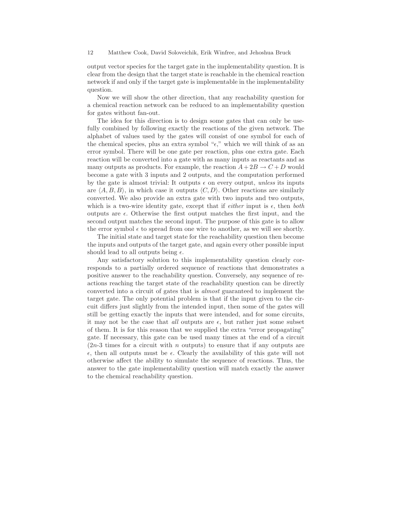output vector species for the target gate in the implementability question. It is clear from the design that the target state is reachable in the chemical reaction network if and only if the target gate is implementable in the implementability question.

Now we will show the other direction, that any reachability question for a chemical reaction network can be reduced to an implementability question for gates without fan-out.

The idea for this direction is to design some gates that can only be usefully combined by following exactly the reactions of the given network. The alphabet of values used by the gates will consist of one symbol for each of the chemical species, plus an extra symbol " $\epsilon$ ," which we will think of as an error symbol. There will be one gate per reaction, plus one extra gate. Each reaction will be converted into a gate with as many inputs as reactants and as many outputs as products. For example, the reaction  $A+2B \to C+D$  would become a gate with 3 inputs and 2 outputs, and the computation performed by the gate is almost trivial: It outputs  $\epsilon$  on every output, *unless* its inputs are  $\langle A, B, B \rangle$ , in which case it outputs  $\langle C, D \rangle$ . Other reactions are similarly converted. We also provide an extra gate with two inputs and two outputs, which is a two-wire identity gate, except that if *either* input is  $\epsilon$ , then *both* outputs are  $\epsilon$ . Otherwise the first output matches the first input, and the second output matches the second input. The purpose of this gate is to allow the error symbol  $\epsilon$  to spread from one wire to another, as we will see shortly.

The initial state and target state for the reachability question then become the inputs and outputs of the target gate, and again every other possible input should lead to all outputs being  $\epsilon$ .

Any satisfactory solution to this implementability question clearly corresponds to a partially ordered sequence of reactions that demonstrates a positive answer to the reachability question. Conversely, any sequence of reactions reaching the target state of the reachability question can be directly converted into a circuit of gates that is almost guaranteed to implement the target gate. The only potential problem is that if the input given to the circuit differs just slightly from the intended input, then some of the gates will still be getting exactly the inputs that were intended, and for some circuits, it may not be the case that *all* outputs are  $\epsilon$ , but rather just some subset of them. It is for this reason that we supplied the extra "error propagating" gate. If necessary, this gate can be used many times at the end of a circuit  $(2n-3$  times for a circuit with n outputs) to ensure that if any outputs are  $\epsilon$ , then all outputs must be  $\epsilon$ . Clearly the availability of this gate will not otherwise affect the ability to simulate the sequence of reactions. Thus, the answer to the gate implementability question will match exactly the answer to the chemical reachability question.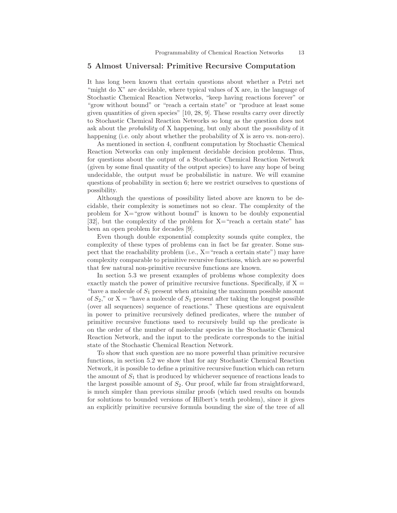### 5 Almost Universal: Primitive Recursive Computation

It has long been known that certain questions about whether a Petri net "might do X" are decidable, where typical values of X are, in the language of Stochastic Chemical Reaction Networks, "keep having reactions forever" or "grow without bound" or "reach a certain state" or "produce at least some given quantities of given species" [10, 28, 9]. These results carry over directly to Stochastic Chemical Reaction Networks so long as the question does not ask about the probability of X happening, but only about the possibility of it happening (i.e. only about whether the probability of X is zero vs. non-zero).

As mentioned in section 4, confluent computation by Stochastic Chemical Reaction Networks can only implement decidable decision problems. Thus, for questions about the output of a Stochastic Chemical Reaction Network (given by some final quantity of the output species) to have any hope of being undecidable, the output must be probabilistic in nature. We will examine questions of probability in section 6; here we restrict ourselves to questions of possibility.

Although the questions of possibility listed above are known to be decidable, their complexity is sometimes not so clear. The complexity of the problem for X="grow without bound" is known to be doubly exponential [32], but the complexity of the problem for  $X=$  "reach a certain state" has been an open problem for decades [9].

Even though double exponential complexity sounds quite complex, the complexity of these types of problems can in fact be far greater. Some suspect that the reachability problem (i.e.,  $X = "reach a certain state")$  may have complexity comparable to primitive recursive functions, which are so powerful that few natural non-primitive recursive functions are known.

In section 5.3 we present examples of problems whose complexity does exactly match the power of primitive recursive functions. Specifically, if  $X =$ "have a molecule of  $S_1$  present when attaining the maximum possible amount of  $S_2$ ," or X = "have a molecule of  $S_1$  present after taking the longest possible (over all sequences) sequence of reactions." These questions are equivalent in power to primitive recursively defined predicates, where the number of primitive recursive functions used to recursively build up the predicate is on the order of the number of molecular species in the Stochastic Chemical Reaction Network, and the input to the predicate corresponds to the initial state of the Stochastic Chemical Reaction Network.

To show that such question are no more powerful than primitive recursive functions, in section 5.2 we show that for any Stochastic Chemical Reaction Network, it is possible to define a primitive recursive function which can return the amount of  $S_1$  that is produced by whichever sequence of reactions leads to the largest possible amount of  $S_2$ . Our proof, while far from straightforward, is much simpler than previous similar proofs (which used results on bounds for solutions to bounded versions of Hilbert's tenth problem), since it gives an explicitly primitive recursive formula bounding the size of the tree of all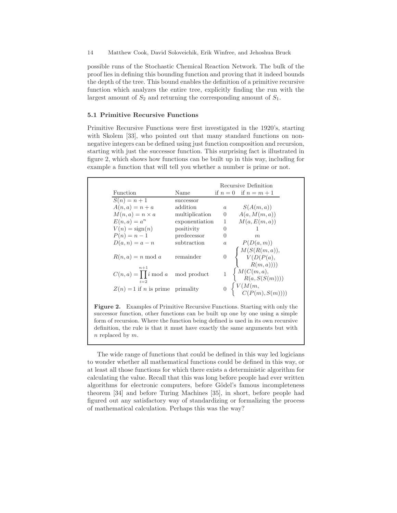possible runs of the Stochastic Chemical Reaction Network. The bulk of the proof lies in defining this bounding function and proving that it indeed bounds the depth of the tree. This bound enables the definition of a primitive recursive function which analyzes the entire tree, explicitly finding the run with the largest amount of  $S_2$  and returning the corresponding amount of  $S_1$ .

#### 5.1 Primitive Recursive Functions

Primitive Recursive Functions were first investigated in the 1920's, starting with Skolem [33], who pointed out that many standard functions on nonnegative integers can be defined using just function composition and recursion, starting with just the successor function. This surprising fact is illustrated in figure 2, which shows how functions can be built up in this way, including for example a function that will tell you whether a number is prime or not.

|                                                        |                |                | Recursive Definition                                                                       |
|--------------------------------------------------------|----------------|----------------|--------------------------------------------------------------------------------------------|
| Function                                               | Name           |                | if $n=0$ if $n=m+1$                                                                        |
| $S(n) = n + 1$                                         | successor      |                |                                                                                            |
| $A(n,a) = n + a$                                       | addition       | $\alpha$       | S(A(m,a))                                                                                  |
| $M(n,a) = n \times a$                                  | multiplication |                | 0 $A(a, M(m, a))$                                                                          |
| $E(n, a) = a^n$                                        | exponentiation | $1 \quad$      | M(a, E(m, a))                                                                              |
| $V(n) = sign(n)$                                       | positivity     | $\theta$       |                                                                                            |
| $P(n) = n - 1$                                         | predecessor    | $\Omega$       | m                                                                                          |
| $D(a, n) = a - n$                                      | subtraction    | $\alpha$       | P(D(a,m))                                                                                  |
| $R(n, a) = n \bmod a$<br>$n+1$                         | remainder      |                | $0\quad \left\{ \begin{array}{c} M(S(R(m,a)),\\ V(D(P(a),\\ R(m,a)))) \end{array} \right.$ |
| $C(n, a) = \prod i \mod a \mod p$ mod product<br>$i=2$ |                |                | $\begin{array}{l} \hbox{$\bigl( \mathit{N}(C(m,a),\quad R(a,S(S(m))))\bigr) } \end{array}$ |
| $Z(n) = 1$ if n is prime primality                     |                | $\overline{0}$ | $V(M(m,$<br>$C(P(m), S(m))))$                                                              |

Figure 2. Examples of Primitive Recursive Functions. Starting with only the successor function, other functions can be built up one by one using a simple form of recursion. Where the function being defined is used in its own recursive definition, the rule is that it must have exactly the same arguments but with n replaced by m.

The wide range of functions that could be defined in this way led logicians to wonder whether all mathematical functions could be defined in this way, or at least all those functions for which there exists a deterministic algorithm for calculating the value. Recall that this was long before people had ever written algorithms for electronic computers, before Gödel's famous incompleteness theorem [34] and before Turing Machines [35], in short, before people had figured out any satisfactory way of standardizing or formalizing the process of mathematical calculation. Perhaps this was the way?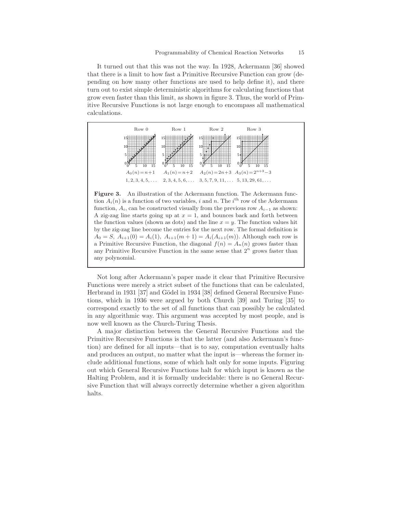It turned out that this was not the way. In 1928, Ackermann [36] showed that there is a limit to how fast a Primitive Recursive Function can grow (depending on how many other functions are used to help define it), and there turn out to exist simple deterministic algorithms for calculating functions that grow even faster than this limit, as shown in figure 3. Thus, the world of Primitive Recursive Functions is not large enough to encompass all mathematical calculations.



Figure 3. An illustration of the Ackermann function. The Ackermann function  $A_i(n)$  is a function of two variables, i and n. The i<sup>th</sup> row of the Ackermann function,  $A_i$ , can be constructed visually from the previous row  $A_{i-1}$  as shown: A zig-zag line starts going up at  $x = 1$ , and bounces back and forth between the function values (shown as dots) and the line  $x = y$ . The function values hit by the zig-zag line become the entries for the next row. The formal definition is  $A_0 = S$ ,  $A_{i+1}(0) = A_i(1)$ ,  $A_{i+1}(m+1) = A_i(A_{i+1}(m))$ . Although each row is a Primitive Recursive Function, the diagonal  $f(n) = A_n(n)$  grows faster than any Primitive Recursive Function in the same sense that  $2<sup>n</sup>$  grows faster than any polynomial.

Not long after Ackermann's paper made it clear that Primitive Recursive Functions were merely a strict subset of the functions that can be calculated, Herbrand in 1931 [37] and Gödel in 1934 [38] defined General Recursive Functions, which in 1936 were argued by both Church [39] and Turing [35] to correspond exactly to the set of all functions that can possibly be calculated in any algorithmic way. This argument was accepted by most people, and is now well known as the Church-Turing Thesis.

A major distinction between the General Recursive Functions and the Primitive Recursive Functions is that the latter (and also Ackermann's function) are defined for all inputs—that is to say, computation eventually halts and produces an output, no matter what the input is—whereas the former include additional functions, some of which halt only for some inputs. Figuring out which General Recursive Functions halt for which input is known as the Halting Problem, and it is formally undecidable: there is no General Recursive Function that will always correctly determine whether a given algorithm halts.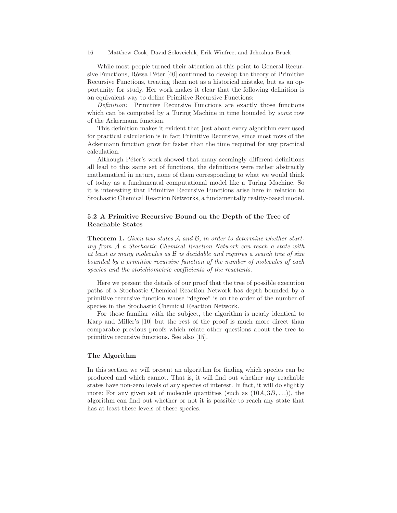While most people turned their attention at this point to General Recursive Functions, Rózsa Péter [40] continued to develop the theory of Primitive Recursive Functions, treating them not as a historical mistake, but as an opportunity for study. Her work makes it clear that the following definition is an equivalent way to define Primitive Recursive Functions:

Definition: Primitive Recursive Functions are exactly those functions which can be computed by a Turing Machine in time bounded by *some* row of the Ackermann function.

This definition makes it evident that just about every algorithm ever used for practical calculation is in fact Primitive Recursive, since most rows of the Ackermann function grow far faster than the time required for any practical calculation.

Although Péter's work showed that many seemingly different definitions all lead to this same set of functions, the definitions were rather abstractly mathematical in nature, none of them corresponding to what we would think of today as a fundamental computational model like a Turing Machine. So it is interesting that Primitive Recursive Functions arise here in relation to Stochastic Chemical Reaction Networks, a fundamentally reality-based model.

## 5.2 A Primitive Recursive Bound on the Depth of the Tree of Reachable States

Theorem 1. Given two states A and B, in order to determine whether starting from A a Stochastic Chemical Reaction Network can reach a state with at least as many molecules as  $\mathcal B$  is decidable and requires a search tree of size bounded by a primitive recursive function of the number of molecules of each species and the stoichiometric coefficients of the reactants.

Here we present the details of our proof that the tree of possible execution paths of a Stochastic Chemical Reaction Network has depth bounded by a primitive recursive function whose "degree" is on the order of the number of species in the Stochastic Chemical Reaction Network.

For those familiar with the subject, the algorithm is nearly identical to Karp and Miller's [10] but the rest of the proof is much more direct than comparable previous proofs which relate other questions about the tree to primitive recursive functions. See also [15].

## The Algorithm

In this section we will present an algorithm for finding which species can be produced and which cannot. That is, it will find out whether any reachable states have non-zero levels of any species of interest. In fact, it will do slightly more: For any given set of molecule quantities (such as  $(10A, 3B, \ldots)$ ), the algorithm can find out whether or not it is possible to reach any state that has at least these levels of these species.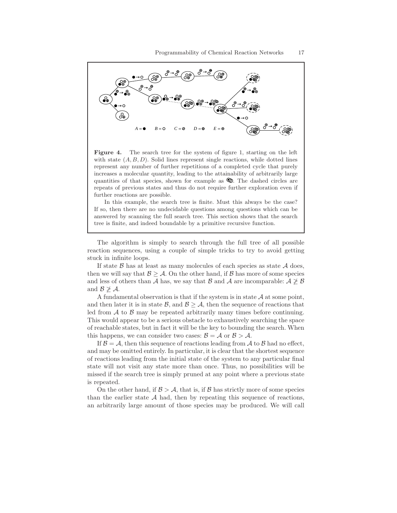

Figure 4. The search tree for the system of figure 1, starting on the left with state  $(A, B, D)$ . Solid lines represent single reactions, while dotted lines represent any number of further repetitions of a completed cycle that purely increases a molecular quantity, leading to the attainability of arbitrarily large quantities of that species, shown for example as  $\mathcal{D}$ . The dashed circles are repeats of previous states and thus do not require further exploration even if further reactions are possible.

In this example, the search tree is finite. Must this always be the case? If so, then there are no undecidable questions among questions which can be answered by scanning the full search tree. This section shows that the search tree is finite, and indeed boundable by a primitive recursive function.

The algorithm is simply to search through the full tree of all possible reaction sequences, using a couple of simple tricks to try to avoid getting stuck in infinite loops.

If state  $\beta$  has at least as many molecules of each species as state  $\mathcal A$  does, then we will say that  $\mathcal{B} \geq \mathcal{A}$ . On the other hand, if  $\mathcal{B}$  has more of some species and less of others than A has, we say that B and A are incomparable:  $A \not\geq B$ and  $\mathcal{B} \not\geq \mathcal{A}$ .

A fundamental observation is that if the system is in state  $A$  at some point, and then later it is in state  $\mathcal{B}$ , and  $\mathcal{B} > \mathcal{A}$ , then the sequence of reactions that led from  $A$  to  $B$  may be repeated arbitrarily many times before continuing. This would appear to be a serious obstacle to exhaustively searching the space of reachable states, but in fact it will be the key to bounding the search. When this happens, we can consider two cases:  $\mathcal{B} = \mathcal{A}$  or  $\mathcal{B} > \mathcal{A}$ .

If  $\mathcal{B} = \mathcal{A}$ , then this sequence of reactions leading from  $\mathcal{A}$  to  $\mathcal{B}$  had no effect, and may be omitted entirely. In particular, it is clear that the shortest sequence of reactions leading from the initial state of the system to any particular final state will not visit any state more than once. Thus, no possibilities will be missed if the search tree is simply pruned at any point where a previous state is repeated.

On the other hand, if  $\mathcal{B} > \mathcal{A}$ , that is, if  $\mathcal{B}$  has strictly more of some species than the earlier state  $A$  had, then by repeating this sequence of reactions, an arbitrarily large amount of those species may be produced. We will call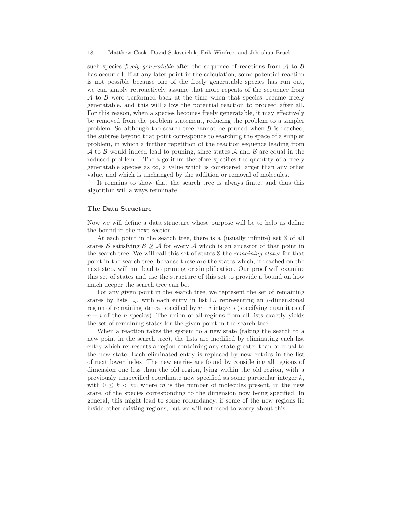such species *freely generatable* after the sequence of reactions from  $\mathcal A$  to  $\mathcal B$ has occurred. If at any later point in the calculation, some potential reaction is not possible because one of the freely generatable species has run out, we can simply retroactively assume that more repeats of the sequence from  $\mathcal A$  to  $\mathcal B$  were performed back at the time when that species became freely generatable, and this will allow the potential reaction to proceed after all. For this reason, when a species becomes freely generatable, it may effectively be removed from the problem statement, reducing the problem to a simpler problem. So although the search tree cannot be pruned when  $\beta$  is reached, the subtree beyond that point corresponds to searching the space of a simpler problem, in which a further repetition of the reaction sequence leading from A to B would indeed lead to pruning, since states A and B are equal in the reduced problem. The algorithm therefore specifies the quantity of a freely generatable species as  $\infty$ , a value which is considered larger than any other value, and which is unchanged by the addition or removal of molecules.

It remains to show that the search tree is always finite, and thus this algorithm will always terminate.

#### The Data Structure

Now we will define a data structure whose purpose will be to help us define the bound in the next section.

At each point in the search tree, there is a (usually infinite) set S of all states S satisfying  $S \not\geq A$  for every A which is an ancestor of that point in the search tree. We will call this set of states S the remaining states for that point in the search tree, because these are the states which, if reached on the next step, will not lead to pruning or simplification. Our proof will examine this set of states and use the structure of this set to provide a bound on how much deeper the search tree can be.

For any given point in the search tree, we represent the set of remaining states by lists  $\mathbb{L}_i$ , with each entry in list  $\mathbb{L}_i$  representing an *i*-dimensional region of remaining states, specified by  $n - i$  integers (specifying quantities of  $n-i$  of the n species). The union of all regions from all lists exactly yields the set of remaining states for the given point in the search tree.

When a reaction takes the system to a new state (taking the search to a new point in the search tree), the lists are modified by eliminating each list entry which represents a region containing any state greater than or equal to the new state. Each eliminated entry is replaced by new entries in the list of next lower index. The new entries are found by considering all regions of dimension one less than the old region, lying within the old region, with a previously unspecified coordinate now specified as some particular integer  $k$ , with  $0 \leq k \leq m$ , where m is the number of molecules present, in the new state, of the species corresponding to the dimension now being specified. In general, this might lead to some redundancy, if some of the new regions lie inside other existing regions, but we will not need to worry about this.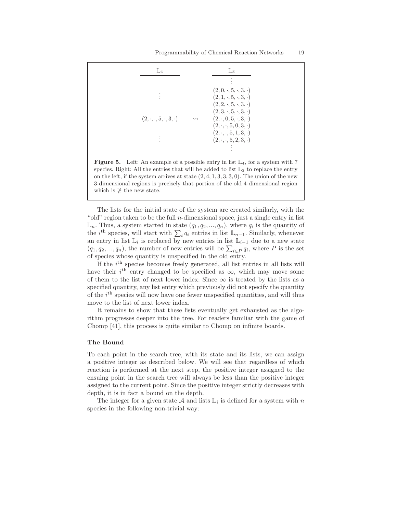| $\mathbb{L}_4$                                                | $\mathbb{L}_3$                                                             |
|---------------------------------------------------------------|----------------------------------------------------------------------------|
|                                                               |                                                                            |
|                                                               | $(2,0,\cdot,5,\cdot,3,\cdot)$<br>$(2, 1, \cdot, 5, \cdot, 3, \cdot)$       |
|                                                               | $(2, 2, \cdot, 5, \cdot, 3, \cdot)$                                        |
| $(2, \cdot, \cdot, 5, \cdot, 3, \cdot)$<br>$\rightsquigarrow$ | $(2, 3, \cdot, 5, \cdot, 3, \cdot)$<br>$(2, \cdot, 0, 5, \cdot, 3, \cdot)$ |
|                                                               | $(2, \cdot, \cdot, 5, 0, 3, \cdot)$<br>$(2, \cdot, \cdot, 5, 1, 3, \cdot)$ |
|                                                               | $(2, \cdot, \cdot, 5, 2, 3, \cdot)$                                        |
|                                                               |                                                                            |

**Figure 5.** Left: An example of a possible entry in list  $\mathbb{L}_4$ , for a system with 7 species. Right: All the entries that will be added to list  $\mathbb{L}_3$  to replace the entry on the left, if the system arrives at state  $(2, 4, 1, 3, 3, 3, 0)$ . The union of the new 3-dimensional regions is precisely that portion of the old 4-dimensional region which is  $\geq$  the new state.

The lists for the initial state of the system are created similarly, with the "old" region taken to be the full  $n$ -dimensional space, just a single entry in list  $\mathbb{L}_n$ . Thus, a system started in state  $(q_1, q_2, ..., q_n)$ , where  $q_i$  is the quantity of the *i*<sup>th</sup> species, will start with  $\sum_i q_i$  entries in list  $\mathbb{L}_{n-1}$ . Similarly, whenever an entry in list  $\mathbb{L}_i$  is replaced by new entries in list  $\mathbb{L}_{i-1}$  due to a new state  $(q_1, q_2, ..., q_n)$ , the number of new entries will be  $\sum_{i \in P} q_i$ , where P is the set of species whose quantity is unspecified in the old entry.

If the  $i<sup>th</sup>$  species becomes freely generated, all list entries in all lists will have their  $i^{\text{th}}$  entry changed to be specified as  $\infty$ , which may move some of them to the list of next lower index: Since  $\infty$  is treated by the lists as a specified quantity, any list entry which previously did not specify the quantity of the  $i<sup>th</sup>$  species will now have one fewer unspecified quantities, and will thus move to the list of next lower index.

It remains to show that these lists eventually get exhausted as the algorithm progresses deeper into the tree. For readers familiar with the game of Chomp [41], this process is quite similar to Chomp on infinite boards.

## The Bound

To each point in the search tree, with its state and its lists, we can assign a positive integer as described below. We will see that regardless of which reaction is performed at the next step, the positive integer assigned to the ensuing point in the search tree will always be less than the positive integer assigned to the current point. Since the positive integer strictly decreases with depth, it is in fact a bound on the depth.

The integer for a given state  $A$  and lists  $\mathbb{L}_i$  is defined for a system with n species in the following non-trivial way: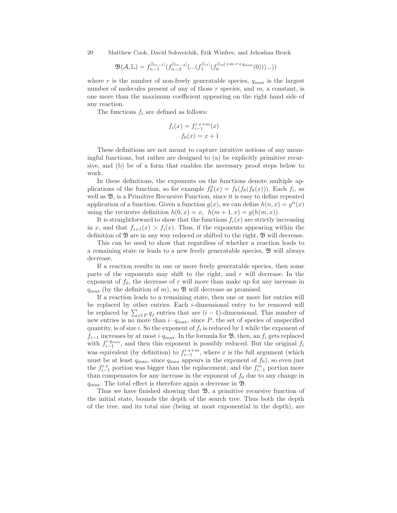$$
\mathfrak{B}(\mathcal{A}, \mathbb{L}) = f_{n-1}^{|\mathbb{L}_{n-1}|} (f_{n-2}^{|\mathbb{L}_{n-2}|} (\dots (f_1^{|\mathbb{L}_1|} (f_0^{|\mathbb{L}_0| + m \cdot r + q_{\max}}(0)))...))
$$

where r is the number of non-freely generatable species,  $q_{\text{max}}$  is the largest number of molecules present of any of those  $r$  species, and  $m$ , a constant, is one more than the maximum coefficient appearing on the right hand side of any reaction.

The functions  $f_i$  are defined as follows:

$$
f_i(x) = f_{i-1}^{i \cdot x + m}(x)
$$

$$
f_0(x) = x + 1
$$

These definitions are not meant to capture intuitive notions of any meaningful functions, but rather are designed to (a) be explicitly primitive recursive, and (b) be of a form that enables the necessary proof steps below to work.

In these definitions, the exponents on the functions denote multiple applications of the function, so for example  $f_8^3(x) = f_8(f_8(f_8(x)))$ . Each  $f_i$ , as well as  $\mathfrak{B}$ , is a Primitive Recursive Function, since it is easy to define repeated application of a function: Given a function  $g(x)$ , we can define  $h(n, x) = g<sup>n</sup>(x)$ using the recursive definition  $h(0, x) = x$ ,  $h(m + 1, x) = g(h(m, x))$ .

It is straightforward to show that the functions  $f_i(x)$  are strictly increasing in x, and that  $f_{i+1}(x) > f_i(x)$ . Thus, if the exponents appearing within the definition of  $\mathfrak B$  are in any way reduced or shifted to the right,  $\mathfrak B$  will decrease.

This can be used to show that regardless of whether a reaction leads to a remaining state or leads to a new freely generatable species, B will always decrease.

If a reaction results in one or more freely generatable species, then some parts of the exponents may shift to the right, and  $r$  will decrease. In the exponent of  $f_0$ , the decrease of r will more than make up for any increase in  $q_{\text{max}}$  (by the definition of m), so  $\mathfrak{B}$  will decrease as promised.

If a reaction leads to a remaining state, then one or more list entries will be replaced by other entries. Each i-dimensional entry to be removed will be replaced by  $\sum_{j\in P} q_j$  entries that are  $(i-1)$ -dimensional. This number of new entries is no more than  $i \cdot q_{\text{max}}$ , since P, the set of species of unspecified quantity, is of size i. So the exponent of  $f_i$  is reduced by 1 while the exponent of  $f_{i-1}$  increases by at most  $i \cdot q_{\text{max}}$ . In the formula for  $\mathfrak{B}$ , then, an  $f_i$  gets replaced with  $f_{i-1}^{i \cdot q_{\text{max}}}$ , and then this exponent is possibly reduced. But the original  $f_i$ was equivalent (by definition) to  $f_{i-1}^{i \cdot x+m}$ , where x is the full argument (which must be at least  $q_{\text{max}}$ , since  $q_{\text{max}}$  appears in the exponent of  $f_0$ , so even just the  $f_{i-1}^{i \cdot x}$  portion was bigger than the replacement, and the  $f_{i-1}^m$  portion more than compensates for any increase in the exponent of  $f_0$  due to any change in  $q_{\text{max}}$ . The total effect is therefore again a decrease in  $\mathfrak{B}$ .

Thus we have finished showing that  $\mathfrak{B}$ , a primitive recursive function of the initial state, bounds the depth of the search tree. Thus both the depth of the tree, and its total size (being at most exponential in the depth), are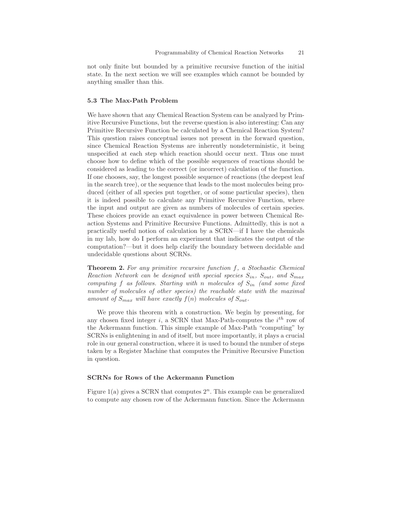not only finite but bounded by a primitive recursive function of the initial state. In the next section we will see examples which cannot be bounded by anything smaller than this.

#### 5.3 The Max-Path Problem

We have shown that any Chemical Reaction System can be analyzed by Primitive Recursive Functions, but the reverse question is also interesting: Can any Primitive Recursive Function be calculated by a Chemical Reaction System? This question raises conceptual issues not present in the forward question, since Chemical Reaction Systems are inherently nondeterministic, it being unspecified at each step which reaction should occur next. Thus one must choose how to define which of the possible sequences of reactions should be considered as leading to the correct (or incorrect) calculation of the function. If one chooses, say, the longest possible sequence of reactions (the deepest leaf in the search tree), or the sequence that leads to the most molecules being produced (either of all species put together, or of some particular species), then it is indeed possible to calculate any Primitive Recursive Function, where the input and output are given as numbers of molecules of certain species. These choices provide an exact equivalence in power between Chemical Reaction Systems and Primitive Recursive Functions. Admittedly, this is not a practically useful notion of calculation by a SCRN—if I have the chemicals in my lab, how do I perform an experiment that indicates the output of the computation?—but it does help clarify the boundary between decidable and undecidable questions about SCRNs.

**Theorem 2.** For any primitive recursive function  $f$ , a Stochastic Chemical Reaction Network can be designed with special species  $S_{in}$ ,  $S_{out}$ , and  $S_{max}$ computing f as follows. Starting with n molecules of  $S_{in}$  (and some fixed number of molecules of other species) the reachable state with the maximal amount of  $S_{max}$  will have exactly  $f(n)$  molecules of  $S_{out}$ .

We prove this theorem with a construction. We begin by presenting, for any chosen fixed integer  $i$ , a SCRN that Max-Path-computes the  $i^{th}$  row of the Ackermann function. This simple example of Max-Path "computing" by SCRNs is enlightening in and of itself, but more importantly, it plays a crucial role in our general construction, where it is used to bound the number of steps taken by a Register Machine that computes the Primitive Recursive Function in question.

#### SCRNs for Rows of the Ackermann Function

Figure  $1(a)$  gives a SCRN that computes  $2<sup>n</sup>$ . This example can be generalized to compute any chosen row of the Ackermann function. Since the Ackermann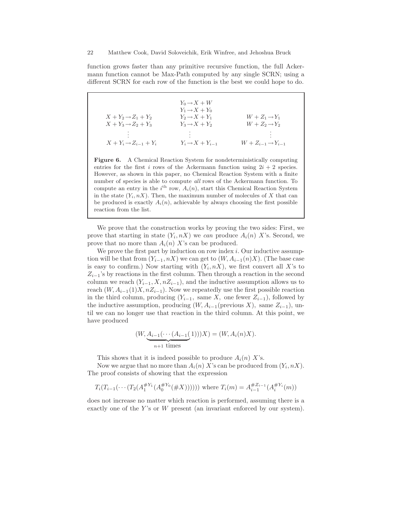function grows faster than any primitive recursive function, the full Ackermann function cannot be Max-Path computed by any single SCRN; using a different SCRN for each row of the function is the best we could hope to do.

 $Y_0 \rightarrow X + W$  $Y_1 \rightarrow X + Y_0$  $X + Y_2 \rightarrow Z_1 + Y_2$   $Y_2 \rightarrow X + Y_1$   $W + Z_1 \rightarrow Y_1$  $X + Y_3 \rightarrow Z_2 + Y_3$   $Y_3 \rightarrow X + Y_2$   $W + Z_2 \rightarrow Y_2$ . . . . . . . . .  $X + Y_i \to Z_{i-1} + Y_i$   $Y_i \to X + Y_{i-1}$   $W + Z_{i-1} \to Y_{i-1}$ 

Figure 6. A Chemical Reaction System for nondeterministically computing entries for the first i rows of the Ackermann function using  $2i + 2$  species. However, as shown in this paper, no Chemical Reaction System with a finite number of species is able to compute all rows of the Ackermann function. To compute an entry in the  $i^{\text{th}}$  row,  $A_i(n)$ , start this Chemical Reaction System in the state  $(Y_i, nX)$ . Then, the maximum number of molecules of X that can be produced is exactly  $A_i(n)$ , achievable by always choosing the first possible reaction from the list.

We prove that the construction works by proving the two sides: First, we prove that starting in state  $(Y_i, nX)$  we can produce  $A_i(n)$  X's. Second, we prove that no more than  $A_i(n)$  X's can be produced.

We prove the first part by induction on row index  $i$ . Our inductive assumption will be that from  $(Y_{i-1}, nX)$  we can get to  $(W, A_{i-1}(n)X)$ . (The base case is easy to confirm.) Now starting with  $(Y_i, nX)$ , we first convert all X's to  $Z_{i-1}$ 's by reactions in the first column. Then through a reaction in the second column we reach  $(Y_{i-1}, X, nZ_{i-1})$ , and the inductive assumption allows us to reach  $(W, A_{i-1}(1)X, nZ_{i-1})$ . Now we repeatedly use the first possible reaction in the third column, producing  $(Y_{i-1}, \text{ same } X, \text{ one fewer } Z_{i-1})$ , followed by the inductive assumption, producing  $(W, A_{i-1}$ (previous X), same  $Z_{i-1}$ ), until we can no longer use that reaction in the third column. At this point, we have produced

$$
(W, \underbrace{A_{i-1}(\cdots (A_{i-1}(1)))X}) = (W, A_i(n)X).
$$
  
<sub>n+1</sub> times

This shows that it is indeed possible to produce  $A_i(n)$  X's.

Now we argue that no more than  $A_i(n)$  X's can be produced from  $(Y_i, nX)$ . The proof consists of showing that the expression

$$
T_i(T_{i-1}(\cdots(T_2(A_1^{\#Y_1}(A_0^{\#Y_0}(\#X))))))
$$
 where  $T_i(m) = A_{i-1}^{\#Z_{i-1}}(A_i^{\#Y_i}(m))$ 

does not increase no matter which reaction is performed, assuming there is a exactly one of the Y's or W present (an invariant enforced by our system).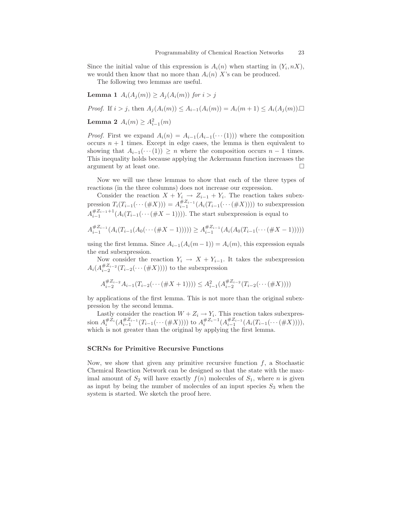Since the initial value of this expression is  $A_i(n)$  when starting in  $(Y_i, nX)$ , we would then know that no more than  $A_i(n)$  X's can be produced.

The following two lemmas are useful.

**Lemma 1**  $A_i(A_i(m)) \geq A_i(A_i(m))$  for  $i > j$ 

*Proof.* If  $i > j$ , then  $A_i(A_i(m)) \leq A_{i-1}(A_i(m)) = A_i(m+1) \leq A_i(A_i(m))$ .□

Lemma 2  $A_i(m) \geq A_{i-1}^2(m)$ 

*Proof.* First we expand  $A_i(n) = A_{i-1}(A_{i-1}(\cdots(1)))$  where the composition occurs  $n + 1$  times. Except in edge cases, the lemma is then equivalent to showing that  $A_{i-1}(\cdots(1)) \geq n$  where the composition occurs  $n-1$  times. This inequality holds because applying the Ackermann function increases the argument by at least one.  $\Box$ 

Now we will use these lemmas to show that each of the three types of reactions (in the three columns) does not increase our expression.

Consider the reaction  $X + Y_i \rightarrow Z_{i-1} + Y_i$ . The reaction takes subexpression  $T_i(T_{i-1}(\cdots(\# X))) = A_{i-1}^{HZ_{i-1}}(A_i(T_{i-1}(\cdots(\# X))))$  to subexpression  $A_{i-1}^{\#Z_{i-1}+1}(A_i(T_{i-1}(\cdots(\#X-1))))$ . The start subexpression is equal to

$$
A_{i-1}^{\#Z_{i-1}}(A_i(T_{i-1}(A_0(\cdots(\#X-1)))) \ge A_{i-1}^{\#Z_{i-1}}(A_i(A_0(T_{i-1}(\cdots(\#X-1))))
$$

using the first lemma. Since  $A_{i-1}(A_i(m-1)) = A_i(m)$ , this expression equals the end subexpression.

Now consider the reaction  $Y_i \to X + Y_{i-1}$ . It takes the subexpression  $A_i(A_{i-2}^{\#Z_{i-2}}(T_{i-2}(\cdots(\#X))))$  to the subexpression

$$
A_{i-2}^{\#Z_{i-2}}A_{i-1}(T_{i-2}(\cdots(\#X+1)))) \leq A_{i-1}^{2}(A_{i-2}^{\#Z_{i-2}}(T_{i-2}(\cdots(\#X))))
$$

by applications of the first lemma. This is not more than the original subexpression by the second lemma.

Lastly consider the reaction  $W + Z_i \rightarrow Y_i$ . This reaction takes subexpression  $A_i^{\#Z_i}(A_{i-1}^{\#Z_{i-1}}(T_{i-1}(\cdots(\#X))))$  to  $A_i^{\#Z_{i-1}}(A_i^{\#Z_{i-1}}(A_i(T_{i-1}(\cdots(\#X))))$ , which is not greater than the original by applying the first lemma.

#### SCRNs for Primitive Recursive Functions

Now, we show that given any primitive recursive function  $f$ , a Stochastic Chemical Reaction Network can be designed so that the state with the maximal amount of  $S_2$  will have exactly  $f(n)$  molecules of  $S_1$ , where n is given as input by being the number of molecules of an input species  $S_3$  when the system is started. We sketch the proof here.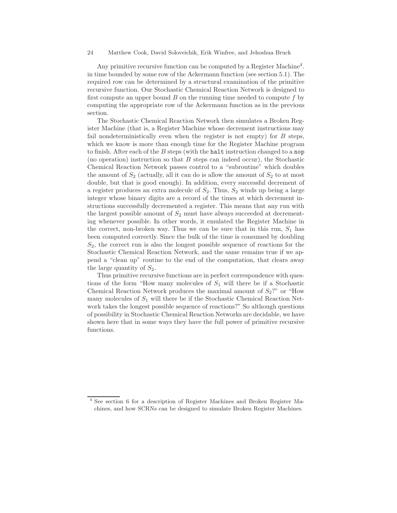Any primitive recursive function can be computed by a Register Machine<sup>4</sup>. in time bounded by some row of the Ackermann function (see section 5.1). The required row can be determined by a structural examination of the primitive recursive function. Our Stochastic Chemical Reaction Network is designed to first compute an upper bound  $B$  on the running time needed to compute f by computing the appropriate row of the Ackermann function as in the previous section.

The Stochastic Chemical Reaction Network then simulates a Broken Register Machine (that is, a Register Machine whose decrement instructions may fail nondeterministically even when the register is not empty) for  $B$  steps, which we know is more than enough time for the Register Machine program to finish. After each of the B steps (with the halt instruction changed to a nop (no operation) instruction so that  $B$  steps can indeed occur), the Stochastic Chemical Reaction Network passes control to a "subroutine" which doubles the amount of  $S_2$  (actually, all it can do is allow the amount of  $S_2$  to at most double, but that is good enough). In addition, every successful decrement of a register produces an extra molecule of  $S_2$ . Thus,  $S_2$  winds up being a large integer whose binary digits are a record of the times at which decrement instructions successfully decremented a register. This means that any run with the largest possible amount of  $S_2$  must have always succeeded at decrementing whenever possible. In other words, it emulated the Register Machine in the correct, non-broken way. Thus we can be sure that in this run,  $S_1$  has been computed correctly. Since the bulk of the time is consumed by doubling  $S<sub>2</sub>$ , the correct run is also the longest possible sequence of reactions for the Stochastic Chemical Reaction Network, and the same remains true if we append a "clean up" routine to the end of the computation, that clears away the large quantity of  $S_2$ .

Thus primitive recursive functions are in perfect correspondence with questions of the form "How many molecules of  $S_1$  will there be if a Stochastic Chemical Reaction Network produces the maximal amount of  $S_2$ ?" or "How many molecules of  $S_1$  will there be if the Stochastic Chemical Reaction Network takes the longest possible sequence of reactions?" So although questions of possibility in Stochastic Chemical Reaction Networks are decidable, we have shown here that in some ways they have the full power of primitive recursive functions.

See section 6 for a description of Register Machines and Broken Register Machines, and how SCRNs can be designed to simulate Broken Register Machines.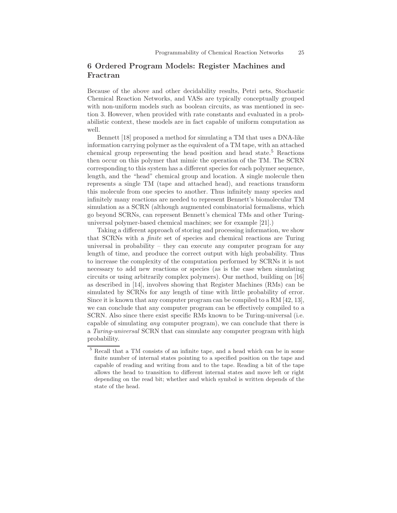## 6 Ordered Program Models: Register Machines and Fractran

Because of the above and other decidability results, Petri nets, Stochastic Chemical Reaction Networks, and VASs are typically conceptually grouped with non-uniform models such as boolean circuits, as was mentioned in section 3. However, when provided with rate constants and evaluated in a probabilistic context, these models are in fact capable of uniform computation as well.

Bennett [18] proposed a method for simulating a TM that uses a DNA-like information carrying polymer as the equivalent of a TM tape, with an attached chemical group representing the head position and head state.<sup>5</sup> Reactions then occur on this polymer that mimic the operation of the TM. The SCRN corresponding to this system has a different species for each polymer sequence, length, and the "head" chemical group and location. A single molecule then represents a single TM (tape and attached head), and reactions transform this molecule from one species to another. Thus infinitely many species and infinitely many reactions are needed to represent Bennett's biomolecular TM simulation as a SCRN (although augmented combinatorial formalisms, which go beyond SCRNs, can represent Bennett's chemical TMs and other Turinguniversal polymer-based chemical machines; see for example [21].)

Taking a different approach of storing and processing information, we show that SCRNs with a finite set of species and chemical reactions are Turing universal in probability – they can execute any computer program for any length of time, and produce the correct output with high probability. Thus to increase the complexity of the computation performed by SCRNs it is not necessary to add new reactions or species (as is the case when simulating circuits or using arbitrarily complex polymers). Our method, building on [16] as described in [14], involves showing that Register Machines (RMs) can be simulated by SCRNs for any length of time with little probability of error. Since it is known that any computer program can be compiled to a RM [42, 13], we can conclude that any computer program can be effectively compiled to a SCRN. Also since there exist specific RMs known to be Turing-universal (i.e. capable of simulating any computer program), we can conclude that there is a Turing-universal SCRN that can simulate any computer program with high probability.

<sup>5</sup> Recall that a TM consists of an infinite tape, and a head which can be in some finite number of internal states pointing to a specified position on the tape and capable of reading and writing from and to the tape. Reading a bit of the tape allows the head to transition to different internal states and move left or right depending on the read bit; whether and which symbol is written depends of the state of the head.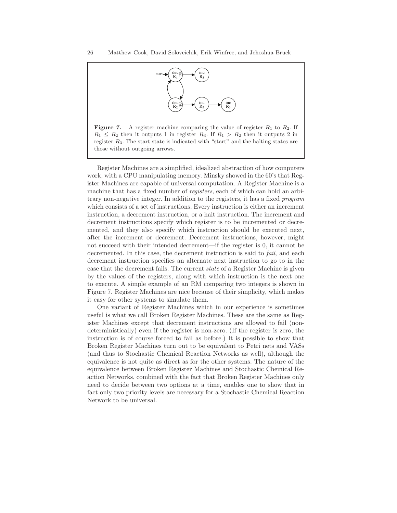

**Figure 7.** A register machine comparing the value of register  $R_1$  to  $R_2$ . If  $R_1 \leq R_2$  then it outputs 1 in register  $R_3$ . If  $R_1 > R_2$  then it outputs 2 in register  $R_3$ . The start state is indicated with "start" and the halting states are those without outgoing arrows.

Register Machines are a simplified, idealized abstraction of how computers work, with a CPU manipulating memory. Minsky showed in the 60's that Register Machines are capable of universal computation. A Register Machine is a machine that has a fixed number of registers, each of which can hold an arbitrary non-negative integer. In addition to the registers, it has a fixed program which consists of a set of instructions. Every instruction is either an increment instruction, a decrement instruction, or a halt instruction. The increment and decrement instructions specify which register is to be incremented or decremented, and they also specify which instruction should be executed next, after the increment or decrement. Decrement instructions, however, might not succeed with their intended decrement—if the register is 0, it cannot be decremented. In this case, the decrement instruction is said to *fail*, and each decrement instruction specifies an alternate next instruction to go to in the case that the decrement fails. The current state of a Register Machine is given by the values of the registers, along with which instruction is the next one to execute. A simple example of an RM comparing two integers is shown in Figure 7. Register Machines are nice because of their simplicity, which makes it easy for other systems to simulate them.

One variant of Register Machines which in our experience is sometimes useful is what we call Broken Register Machines. These are the same as Register Machines except that decrement instructions are allowed to fail (nondeterministically) even if the register is non-zero. (If the register is zero, the instruction is of course forced to fail as before.) It is possible to show that Broken Register Machines turn out to be equivalent to Petri nets and VASs (and thus to Stochastic Chemical Reaction Networks as well), although the equivalence is not quite as direct as for the other systems. The nature of the equivalence between Broken Register Machines and Stochastic Chemical Reaction Networks, combined with the fact that Broken Register Machines only need to decide between two options at a time, enables one to show that in fact only two priority levels are necessary for a Stochastic Chemical Reaction Network to be universal.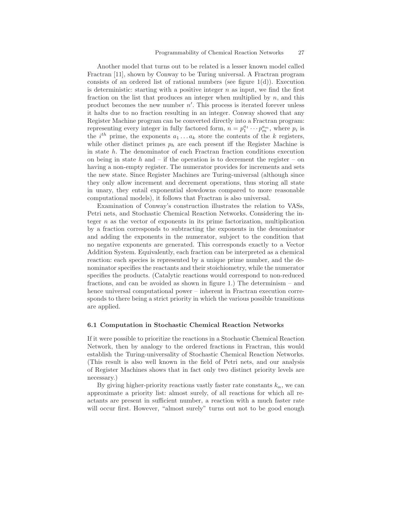Another model that turns out to be related is a lesser known model called Fractran [11], shown by Conway to be Turing universal. A Fractran program consists of an ordered list of rational numbers (see figure  $1(d)$ ). Execution is deterministic: starting with a positive integer  $n$  as input, we find the first fraction on the list that produces an integer when multiplied by  $n$ , and this product becomes the new number  $n'$ . This process is iterated forever unless it halts due to no fraction resulting in an integer. Conway showed that any Register Machine program can be converted directly into a Fractran program: representing every integer in fully factored form,  $n = p_1^{a_1} \cdots p_m^{a_m}$ , where  $p_i$  is the  $i^{th}$  prime, the exponents  $a_1 \ldots a_k$  store the contents of the k registers, while other distinct primes  $p_h$  are each present iff the Register Machine is in state  $h$ . The denominator of each Fractran fraction conditions execution on being in state  $h$  and – if the operation is to decrement the register – on having a non-empty register. The numerator provides for increments and sets the new state. Since Register Machines are Turing-universal (although since they only allow increment and decrement operations, thus storing all state in unary, they entail exponential slowdowns compared to more reasonable computational models), it follows that Fractran is also universal.

Examination of Conway's construction illustrates the relation to VASs, Petri nets, and Stochastic Chemical Reaction Networks. Considering the integer  $n$  as the vector of exponents in its prime factorization, multiplication by a fraction corresponds to subtracting the exponents in the denominator and adding the exponents in the numerator, subject to the condition that no negative exponents are generated. This corresponds exactly to a Vector Addition System. Equivalently, each fraction can be interpreted as a chemical reaction: each species is represented by a unique prime number, and the denominator specifies the reactants and their stoichiometry, while the numerator specifies the products. (Catalytic reactions would correspond to non-reduced fractions, and can be avoided as shown in figure 1.) The determinism – and hence universal computational power – inherent in Fractran execution corresponds to there being a strict priority in which the various possible transitions are applied.

#### 6.1 Computation in Stochastic Chemical Reaction Networks

If it were possible to prioritize the reactions in a Stochastic Chemical Reaction Network, then by analogy to the ordered fractions in Fractran, this would establish the Turing-universality of Stochastic Chemical Reaction Networks. (This result is also well known in the field of Petri nets, and our analysis of Register Machines shows that in fact only two distinct priority levels are necessary.)

By giving higher-priority reactions vastly faster rate constants  $k_{\alpha}$ , we can approximate a priority list: almost surely, of all reactions for which all reactants are present in sufficient number, a reaction with a much faster rate will occur first. However, "almost surely" turns out not to be good enough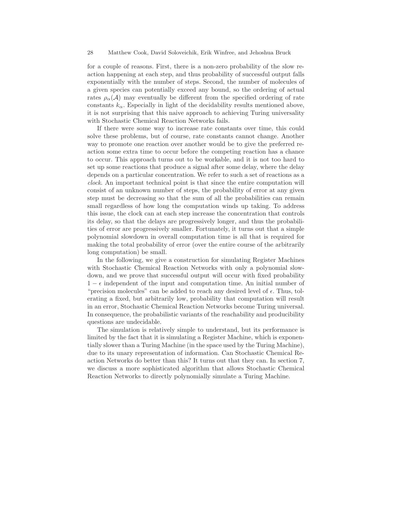for a couple of reasons. First, there is a non-zero probability of the slow reaction happening at each step, and thus probability of successful output falls exponentially with the number of steps. Second, the number of molecules of a given species can potentially exceed any bound, so the ordering of actual rates  $\rho_{\alpha}(A)$  may eventually be different from the specified ordering of rate constants  $k_{\alpha}$ . Especially in light of the decidability results mentioned above, it is not surprising that this naive approach to achieving Turing universality with Stochastic Chemical Reaction Networks fails.

If there were some way to increase rate constants over time, this could solve these problems, but of course, rate constants cannot change. Another way to promote one reaction over another would be to give the preferred reaction some extra time to occur before the competing reaction has a chance to occur. This approach turns out to be workable, and it is not too hard to set up some reactions that produce a signal after some delay, where the delay depends on a particular concentration. We refer to such a set of reactions as a clock. An important technical point is that since the entire computation will consist of an unknown number of steps, the probability of error at any given step must be decreasing so that the sum of all the probabilities can remain small regardless of how long the computation winds up taking. To address this issue, the clock can at each step increase the concentration that controls its delay, so that the delays are progressively longer, and thus the probabilities of error are progressively smaller. Fortunately, it turns out that a simple polynomial slowdown in overall computation time is all that is required for making the total probability of error (over the entire course of the arbitrarily long computation) be small.

In the following, we give a construction for simulating Register Machines with Stochastic Chemical Reaction Networks with only a polynomial slowdown, and we prove that successful output will occur with fixed probability  $1 - \epsilon$  independent of the input and computation time. An initial number of "precision molecules" can be added to reach any desired level of  $\epsilon$ . Thus, tolerating a fixed, but arbitrarily low, probability that computation will result in an error, Stochastic Chemical Reaction Networks become Turing universal. In consequence, the probabilistic variants of the reachability and producibility questions are undecidable.

The simulation is relatively simple to understand, but its performance is limited by the fact that it is simulating a Register Machine, which is exponentially slower than a Turing Machine (in the space used by the Turing Machine), due to its unary representation of information. Can Stochastic Chemical Reaction Networks do better than this? It turns out that they can. In section 7, we discuss a more sophisticated algorithm that allows Stochastic Chemical Reaction Networks to directly polynomially simulate a Turing Machine.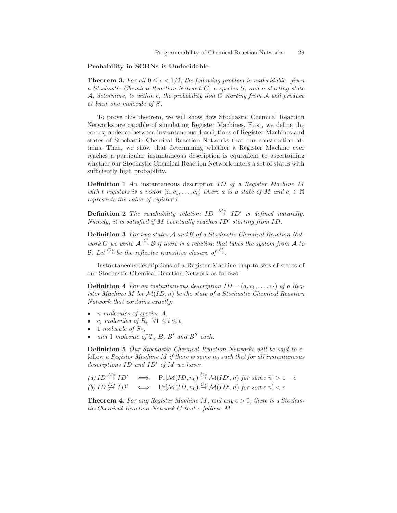#### Probability in SCRNs is Undecidable

**Theorem 3.** For all  $0 \le \epsilon < 1/2$ , the following problem is undecidable: given a Stochastic Chemical Reaction Network C, a species S, and a starting state A, determine, to within  $\epsilon$ , the probability that C starting from A will produce at least one molecule of S.

To prove this theorem, we will show how Stochastic Chemical Reaction Networks are capable of simulating Register Machines. First, we define the correspondence between instantaneous descriptions of Register Machines and states of Stochastic Chemical Reaction Networks that our construction attains. Then, we show that determining whether a Register Machine ever reaches a particular instantaneous description is equivalent to ascertaining whether our Stochastic Chemical Reaction Network enters a set of states with sufficiently high probability.

Definition 1 An instantaneous description ID of a Register Machine M with t registers is a vector  $(a, c_1, \ldots, c_t)$  where a is a state of M and  $c_i \in \mathbb{N}$ represents the value of register i.

**Definition 2** The reachability relation  $ID \stackrel{M*}{\rightarrow} ID'$  is defined naturally. Namely, it is satisfied if M eventually reaches ID′ starting from ID.

Definition 3 For two states A and B of a Stochastic Chemical Reaction Network C we write  $A \stackrel{C}{\rightarrow} B$  if there is a reaction that takes the system from A to B. Let  $\stackrel{C*}{\rightarrow}$  be the reflexive transitive closure of  $\stackrel{C}{\rightarrow}$ .

Instantaneous descriptions of a Register Machine map to sets of states of our Stochastic Chemical Reaction Network as follows:

**Definition 4** For an instantaneous description  $ID = (a, c_1, \ldots, c_t)$  of a Register Machine M let  $\mathcal{M}(ID, n)$  be the state of a Stochastic Chemical Reaction Network that contains exactly:

- n molecules of species A,
- $c_i$  molecules of  $R_i \ \forall 1 \leq i \leq t$ ,
- 1 molecule of  $S_a$ ,
- and 1 molecule of T, B, B' and B" each.

**Definition 5** Our Stochastic Chemical Reaction Networks will be said to  $\epsilon$ follow a Register Machine M if there is some  $n_0$  such that for all instantaneous descriptions  $ID$  and  $ID'$  of  $M$  we have:

(a) 
$$
ID \stackrel{M*}{\rightarrow} ID'
$$
  $\iff$   $Pr[\mathcal{M}(ID, n_0) \stackrel{C*}{\rightarrow} \mathcal{M}(ID', n) \text{ for some } n] > 1 - \epsilon$   
(b)  $ID \stackrel{M*}{\rightarrow} ID'$   $\iff$   $Pr[\mathcal{M}(ID, n_0) \stackrel{C*}{\rightarrow} \mathcal{M}(ID', n) \text{ for some } n] < \epsilon$ 

**Theorem 4.** For any Register Machine M, and any  $\epsilon > 0$ , there is a Stochastic Chemical Reaction Network C that  $\epsilon$ -follows M.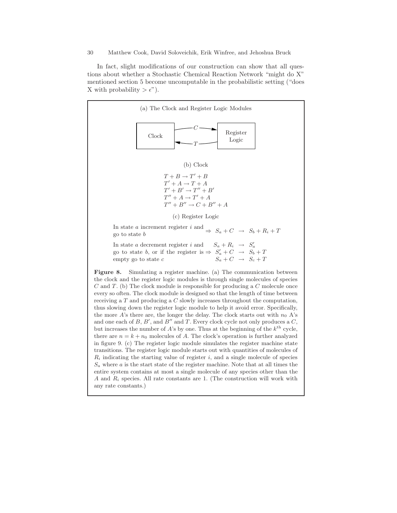In fact, slight modifications of our construction can show that all questions about whether a Stochastic Chemical Reaction Network "might do X" mentioned section 5 become uncomputable in the probabilistic setting ("does X with probability  $>\epsilon$ ").

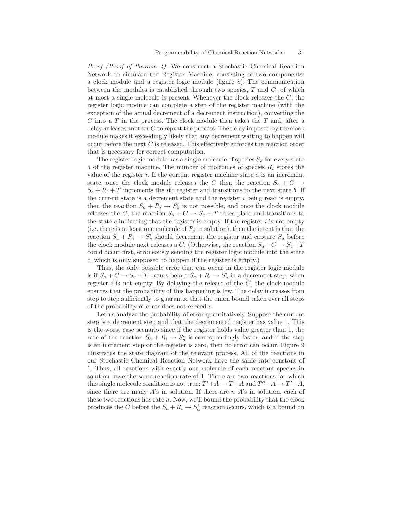*Proof (Proof of theorem 4).* We construct a Stochastic Chemical Reaction Network to simulate the Register Machine, consisting of two components: a clock module and a register logic module (figure 8). The communication between the modules is established through two species,  $T$  and  $C$ , of which at most a single molecule is present. Whenever the clock releases the C, the register logic module can complete a step of the register machine (with the exception of the actual decrement of a decrement instruction), converting the  $C$  into a  $T$  in the process. The clock module then takes the  $T$  and, after a delay, releases another  $C$  to repeat the process. The delay imposed by the clock module makes it exceedingly likely that any decrement waiting to happen will occur before the next C is released. This effectively enforces the reaction order that is necessary for correct computation.

The register logic module has a single molecule of species  $S_a$  for every state a of the register machine. The number of molecules of species  $R_i$  stores the value of the register  $i$ . If the current register machine state  $a$  is an increment state, once the clock module releases the C then the reaction  $S_a + C \rightarrow$  $S_b + R_i + T$  increments the *i*th register and transitions to the next state *b*. If the current state is a decrement state and the register  $i$  being read is empty, then the reaction  $S_a + R_i \rightarrow S'_a$  is not possible, and once the clock module releases the C, the reaction  $S_a + C \rightarrow S_c + T$  takes place and transitions to the state  $c$  indicating that the register is empty. If the register  $i$  is not empty (i.e. there is at least one molecule of  $R_i$  in solution), then the intent is that the reaction  $S_a + R_i \rightarrow S'_a$  should decrement the register and capture  $S_a$  before the clock module next releases a  $C.$  (Otherwise, the reaction  $S_a+C\rightarrow S_c+T$ could occur first, erroneously sending the register logic module into the state c, which is only supposed to happen if the register is empty.)

Thus, the only possible error that can occur in the register logic module is if  $S_a + C \rightarrow S_c + T$  occurs before  $S_a + R_i \rightarrow S'_a$  in a decrement step, when register  $i$  is not empty. By delaying the release of the  $C$ , the clock module ensures that the probability of this happening is low. The delay increases from step to step sufficiently to guarantee that the union bound taken over all steps of the probability of error does not exceed  $\epsilon$ .

Let us analyze the probability of error quantitatively. Suppose the current step is a decrement step and that the decremented register has value 1. This is the worst case scenario since if the register holds value greater than 1, the rate of the reaction  $S_a + R_i \rightarrow S'_a$  is correspondingly faster, and if the step is an increment step or the register is zero, then no error can occur. Figure 9 illustrates the state diagram of the relevant process. All of the reactions in our Stochastic Chemical Reaction Network have the same rate constant of 1. Thus, all reactions with exactly one molecule of each reactant species in solution have the same reaction rate of 1. There are two reactions for which this single molecule condition is not true:  $T' + A \rightarrow T + A$  and  $T'' + A \rightarrow T' + A$ , since there are many  $A$ 's in solution. If there are  $n A$ 's in solution, each of these two reactions has rate n. Now, we'll bound the probability that the clock produces the C before the  $S_a + R_i \rightarrow S'_a$  reaction occurs, which is a bound on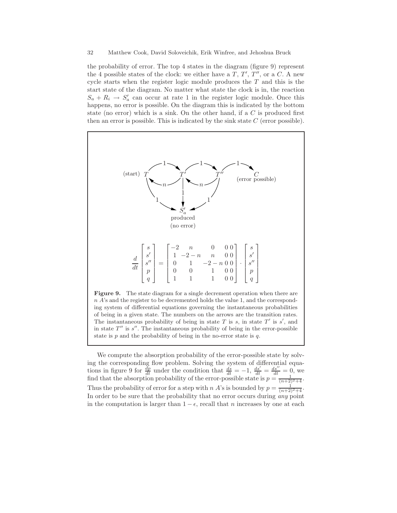the probability of error. The top 4 states in the diagram (figure 9) represent the 4 possible states of the clock: we either have a  $T, T', T'',$  or a  $C$ . A new cycle starts when the register logic module produces the  $T$  and this is the start state of the diagram. No matter what state the clock is in, the reaction  $S_a + R_i \rightarrow S'_a$  can occur at rate 1 in the register logic module. Once this happens, no error is possible. On the diagram this is indicated by the bottom state (no error) which is a sink. On the other hand, if a  $C$  is produced first then an error is possible. This is indicated by the sink state  $C$  (error possible).



We compute the absorption probability of the error-possible state by solving the corresponding flow problem. Solving the system of differential equations in figure 9 for  $\frac{dp}{dt}$  under the condition that  $\frac{ds}{dt} = -1$ ,  $\frac{ds'}{dt} = \frac{ds''}{dt} = 0$ , we find that the absorption probability of the error-possible state is  $p = \frac{1}{(n+2)^2+4}$ . Thus the probability of error for a step with n A's is bounded by  $p = \frac{1}{(n+2)^2+4}$ . In order to be sure that the probability that no error occurs during *any* point in the computation is larger than  $1 - \epsilon$ , recall that *n* increases by one at each

state is  $p$  and the probability of being in the no-error state is  $q$ .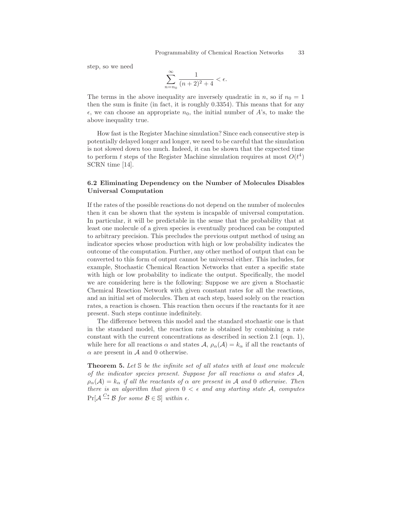step, so we need

$$
\sum_{n=n_0}^{\infty} \frac{1}{(n+2)^2+4} < \epsilon.
$$

The terms in the above inequality are inversely quadratic in n, so if  $n_0 = 1$ then the sum is finite (in fact, it is roughly 0.3354). This means that for any  $\epsilon$ , we can choose an appropriate  $n_0$ , the initial number of A's, to make the above inequality true.

How fast is the Register Machine simulation? Since each consecutive step is potentially delayed longer and longer, we need to be careful that the simulation is not slowed down too much. Indeed, it can be shown that the expected time to perform t steps of the Register Machine simulation requires at most  $O(t^4)$ SCRN time [14].

## 6.2 Eliminating Dependency on the Number of Molecules Disables Universal Computation

If the rates of the possible reactions do not depend on the number of molecules then it can be shown that the system is incapable of universal computation. In particular, it will be predictable in the sense that the probability that at least one molecule of a given species is eventually produced can be computed to arbitrary precision. This precludes the previous output method of using an indicator species whose production with high or low probability indicates the outcome of the computation. Further, any other method of output that can be converted to this form of output cannot be universal either. This includes, for example, Stochastic Chemical Reaction Networks that enter a specific state with high or low probability to indicate the output. Specifically, the model we are considering here is the following: Suppose we are given a Stochastic Chemical Reaction Network with given constant rates for all the reactions, and an initial set of molecules. Then at each step, based solely on the reaction rates, a reaction is chosen. This reaction then occurs if the reactants for it are present. Such steps continue indefinitely.

The difference between this model and the standard stochastic one is that in the standard model, the reaction rate is obtained by combining a rate constant with the current concentrations as described in section 2.1 (eqn. 1), while here for all reactions  $\alpha$  and states  $\mathcal{A}, \rho_{\alpha}(\mathcal{A}) = k_{\alpha}$  if all the reactants of  $\alpha$  are present in  $\mathcal A$  and 0 otherwise.

**Theorem 5.** Let S be the infinite set of all states with at least one molecule of the indicator species present. Suppose for all reactions  $\alpha$  and states A,  $\rho_{\alpha}(\mathcal{A})=k_{\alpha}$  if all the reactants of  $\alpha$  are present in A and 0 otherwise. Then there is an algorithm that given  $0 < \epsilon$  and any starting state A, computes  $\Pr[\mathcal{A} \stackrel{C*}{\to} \mathcal{B} \text{ for some } \mathcal{B} \in \mathbb{S}] \text{ within } \epsilon.$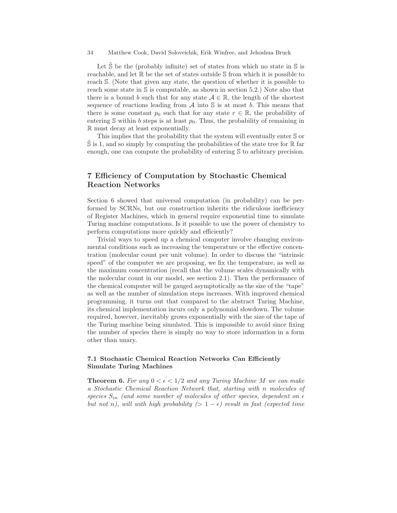Let  $\tilde{S}$  be the (probably infinite) set of states from which no state in  $S$  is reachable, and let R be the set of states outside S from which it is possible to reach S. (Note that given any state, the question of whether it is possible to reach some state in S is computable, as shown in section 5.2.) Note also that there is a bound b such that for any state  $A \in \mathbb{R}$ , the length of the shortest sequence of reactions leading from  $\mathcal A$  into  $\mathbb S$  is at most b. This means that there is some constant  $p_0$  such that for any state  $r \in \mathbb{R}$ , the probability of entering  $\mathcal S$  within b steps is at least  $p_0$ . Thus, the probability of remaining in R must decay at least exponentially.

This implies that the probability that the system will eventually enter S or  $\mathbb S$  is 1, and so simply by computing the probabilities of the state tree for  $\mathbb R$  far enough, one can compute the probability of entering S to arbitrary precision.

## 7 Efficiency of Computation by Stochastic Chemical Reaction Networks

Section 6 showed that universal computation (in probability) can be performed by SCRNs, but our construction inherits the ridiculous inefficiency of Register Machines, which in general require exponential time to simulate Turing machine computations. Is it possible to use the power of chemistry to perform computations more quickly and efficiently?

Trivial ways to speed up a chemical computer involve changing environmental conditions such as increasing the temperature or the effective concentration (molecular count per unit volume). In order to discuss the "intrinsic speed" of the computer we are proposing, we fix the temperature, as well as the maximum concentration (recall that the volume scales dynamically with the molecular count in our model, see section 2.1). Then the performance of the chemical computer will be gauged asymptotically as the size of the "tape" as well as the number of simulation steps increases. With improved chemical programming, it turns out that compared to the abstract Turing Machine, its chemical implementation incurs only a polynomial slowdown. The volume required, however, inevitably grows exponentially with the size of the tape of the Turing machine being simulated. This is impossible to avoid since fixing the number of species there is simply no way to store information in a form other than unary.

## 7.1 Stochastic Chemical Reaction Networks Can Efficiently Simulate Turing Machines

**Theorem 6.** For any  $0 < \epsilon < 1/2$  and any Turing Machine M we can make a Stochastic Chemical Reaction Network that, starting with n molecules of species  $S_{in}$  (and some number of molecules of other species, dependent on  $\epsilon$ but not n), will with high probability  $(> 1 - \epsilon)$  result in fast (expected time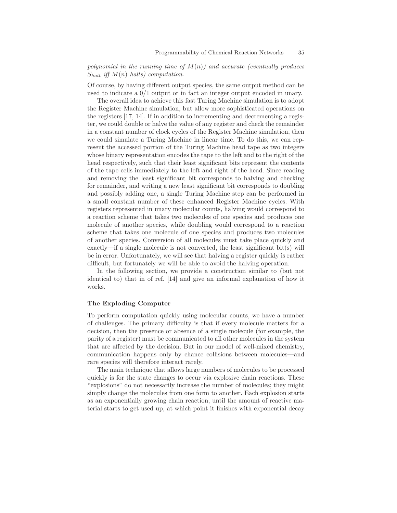polynomial in the running time of  $M(n)$ ) and accurate (eventually produces  $S_{halt}$  iff  $M(n)$  halts) computation.

Of course, by having different output species, the same output method can be used to indicate a 0/1 output or in fact an integer output encoded in unary.

The overall idea to achieve this fast Turing Machine simulation is to adopt the Register Machine simulation, but allow more sophisticated operations on the registers [17, 14]. If in addition to incrementing and decrementing a register, we could double or halve the value of any register and check the remainder in a constant number of clock cycles of the Register Machine simulation, then we could simulate a Turing Machine in linear time. To do this, we can represent the accessed portion of the Turing Machine head tape as two integers whose binary representation encodes the tape to the left and to the right of the head respectively, such that their least significant bits represent the contents of the tape cells immediately to the left and right of the head. Since reading and removing the least significant bit corresponds to halving and checking for remainder, and writing a new least significant bit corresponds to doubling and possibly adding one, a single Turing Machine step can be performed in a small constant number of these enhanced Register Machine cycles. With registers represented in unary molecular counts, halving would correspond to a reaction scheme that takes two molecules of one species and produces one molecule of another species, while doubling would correspond to a reaction scheme that takes one molecule of one species and produces two molecules of another species. Conversion of all molecules must take place quickly and exactly—if a single molecule is not converted, the least significant bit(s) will be in error. Unfortunately, we will see that halving a register quickly is rather difficult, but fortunately we will be able to avoid the halving operation.

In the following section, we provide a construction similar to (but not identical to) that in of ref. [14] and give an informal explanation of how it works.

### The Exploding Computer

To perform computation quickly using molecular counts, we have a number of challenges. The primary difficulty is that if every molecule matters for a decision, then the presence or absence of a single molecule (for example, the parity of a register) must be communicated to all other molecules in the system that are affected by the decision. But in our model of well-mixed chemistry, communication happens only by chance collisions between molecules—and rare species will therefore interact rarely.

The main technique that allows large numbers of molecules to be processed quickly is for the state changes to occur via explosive chain reactions. These "explosions" do not necessarily increase the number of molecules; they might simply change the molecules from one form to another. Each explosion starts as an exponentially growing chain reaction, until the amount of reactive material starts to get used up, at which point it finishes with exponential decay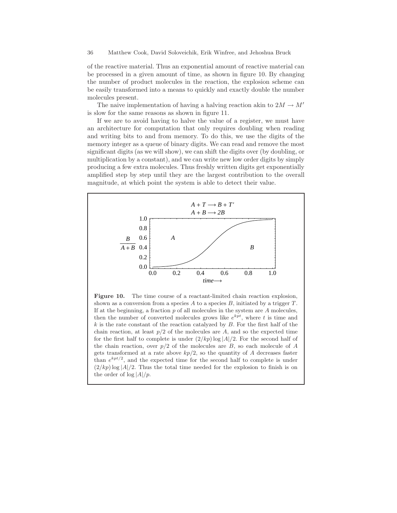of the reactive material. Thus an exponential amount of reactive material can be processed in a given amount of time, as shown in figure 10. By changing the number of product molecules in the reaction, the explosion scheme can be easily transformed into a means to quickly and exactly double the number molecules present.

The naive implementation of having a halving reaction akin to  $2M \rightarrow M'$ is slow for the same reasons as shown in figure 11.

If we are to avoid having to halve the value of a register, we must have an architecture for computation that only requires doubling when reading and writing bits to and from memory. To do this, we use the digits of the memory integer as a queue of binary digits. We can read and remove the most significant digits (as we will show), we can shift the digits over (by doubling, or multiplication by a constant), and we can write new low order digits by simply producing a few extra molecules. Thus freshly written digits get exponentially amplified step by step until they are the largest contribution to the overall magnitude, at which point the system is able to detect their value.



Figure 10. The time course of a reactant-limited chain reaction explosion, shown as a conversion from a species  $A$  to a species  $B$ , initiated by a trigger  $T$ . If at the beginning, a fraction  $p$  of all molecules in the system are  $A$  molecules, then the number of converted molecules grows like  $e^{kpt}$ , where t is time and  $k$  is the rate constant of the reaction catalyzed by  $B$ . For the first half of the chain reaction, at least  $p/2$  of the molecules are A, and so the expected time for the first half to complete is under  $(2/kp) \log |A|/2$ . For the second half of the chain reaction, over  $p/2$  of the molecules are  $B$ , so each molecule of  $A$ gets transformed at a rate above  $kp/2$ , so the quantity of A decreases faster than  $e^{kpt/2}$ , and the expected time for the second half to complete is under  $(2/kp)$  log  $|A|/2$ . Thus the total time needed for the explosion to finish is on the order of  $\log |A|/p$ .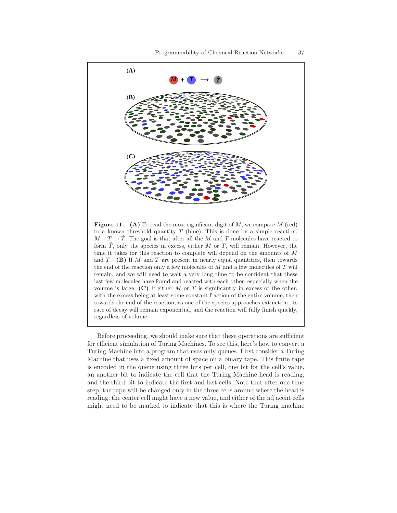



Before proceeding, we should make sure that these operations are sufficient for efficient simulation of Turing Machines. To see this, here's how to convert a Turing Machine into a program that uses only queues. First consider a Turing Machine that uses a fixed amount of space on a binary tape. This finite tape is encoded in the queue using three bits per cell, one bit for the cell's value, an another bit to indicate the cell that the Turing Machine head is reading, and the third bit to indicate the first and last cells. Note that after one time step, the tape will be changed only in the three cells around where the head is reading: the center cell might have a new value, and either of the adjacent cells might need to be marked to indicate that this is where the Turing machine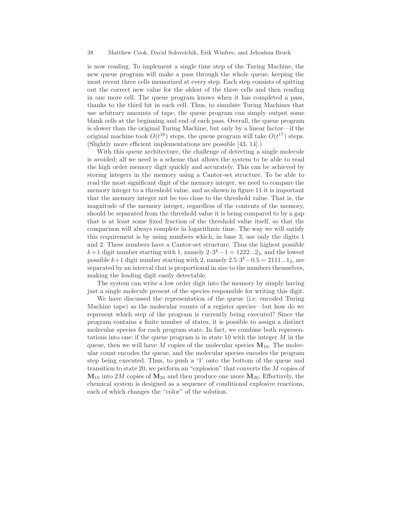is now reading. To implement a single time step of the Turing Machine, the new queue program will make a pass through the whole queue, keeping the most recent three cells memorized at every step. Each step consists of spitting out the correct new value for the oldest of the three cells and then reading in one more cell. The queue program knows when it has completed a pass, thanks to the third bit in each cell. Thus, to simulate Turing Machines that use arbitrary amounts of tape, the queue program can simply output some blank cells at the beginning and end of each pass. Overall, the queue program is slower than the original Turing Machine, but only by a linear factor—if the original machine took  $O(t^{16})$  steps, the queue program will take  $O(t^{17})$  steps. (Slightly more efficient implementations are possible [43, 14].)

With this queue architecture, the challenge of detecting a single molecule is avoided; all we need is a scheme that allows the system to be able to read the high order memory digit quickly and accurately. This can be achieved by storing integers in the memory using a Cantor-set structure. To be able to read the most significant digit of the memory integer, we need to compare the memory integer to a threshold value, and as shown in figure 11 it is important that the memory integer not be too close to the threshold value. That is, the magnitude of the memory integer, regardless of the contents of the memory, should be separated from the threshold value it is being compared to by a gap that is at least some fixed fraction of the threshold value itself, so that the comparison will always complete in logarithmic time. The way we will satisfy this requirement is by using numbers which, in base 3, use only the digits 1 and 2. These numbers have a Cantor-set structure. Thus the highest possible  $k+1$  digit number starting with 1, namely  $2 \cdot 3^k - 1 = 1222...2_3$ , and the lowest possible  $k+1$  digit number starting with 2, namely  $2.5 \cdot 3^k - 0.5 = 2111...1_3$ , are separated by an interval that is proportional in size to the numbers themselves, making the leading digit easily detectable.

The system can write a low order digit into the memory by simply having just a single molecule present of the species responsible for writing this digit.

We have discussed the representation of the queue (i.e. encoded Turing Machine tape) as the molecular counts of a register species—but how do we represent which step of the program is currently being executed? Since the program contains a finite number of states, it is possible to assign a distinct molecular species for each program state. In fact, we combine both representations into one: if the queue program is in state 10 with the integer  $M$  in the queue, then we will have M copies of the molecular species  $M_{10}$ . The molecular count encodes the queue, and the molecular species encodes the program step being executed. Thus, to push a '1' onto the bottom of the queue and transition to state 20, we perform an "explosion" that converts the M copies of  $M_{10}$  into 2M copies of  $M_{20}$  and then produce one more  $M_{20}$ . Effectively, the chemical system is designed as a sequence of conditional explosive reactions, each of which changes the "color" of the solution.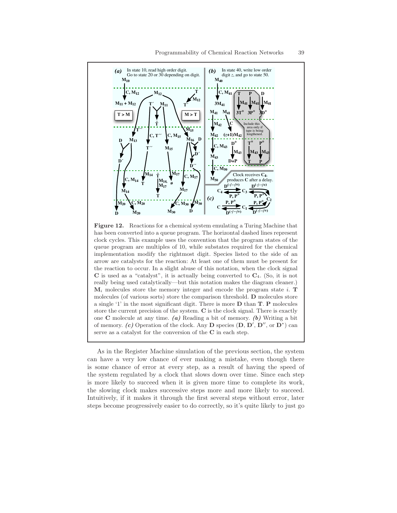

Figure 12. Reactions for a chemical system emulating a Turing Machine that has been converted into a queue program. The horizontal dashed lines represent clock cycles. This example uses the convention that the program states of the queue program are multiples of 10, while substates required for the chemical implementation modify the rightmost digit. Species listed to the side of an arrow are catalysts for the reaction: At least one of them must be present for the reaction to occur. In a slight abuse of this notation, when the clock signal  $C$  is used as a "catalyst", it is actually being converted to  $C_4$ . (So, it is not really being used catalytically—but this notation makes the diagram cleaner.)  $M_i$  molecules store the memory integer and encode the program state i. T molecules (of various sorts) store the comparison threshold. D molecules store a single '1' in the most significant digit. There is more D than T. P molecules store the current precision of the system. C is the clock signal. There is exactly one C molecule at any time. (a) Reading a bit of memory. (b) Writing a bit of memory. (c) Operation of the clock. Any **D** species  $(D, D', D'', or D^*)$  can serve as a catalyst for the conversion of the C in each step.

As in the Register Machine simulation of the previous section, the system can have a very low chance of ever making a mistake, even though there is some chance of error at every step, as a result of having the speed of the system regulated by a clock that slows down over time. Since each step is more likely to succeed when it is given more time to complete its work, the slowing clock makes successive steps more and more likely to succeed. Intuitively, if it makes it through the first several steps without error, later steps become progressively easier to do correctly, so it's quite likely to just go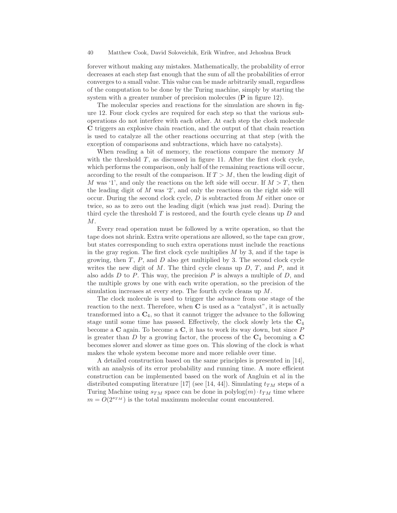forever without making any mistakes. Mathematically, the probability of error decreases at each step fast enough that the sum of all the probabilities of error converges to a small value. This value can be made arbitrarily small, regardless of the computation to be done by the Turing machine, simply by starting the system with a greater number of precision molecules (P in figure 12).

The molecular species and reactions for the simulation are shown in figure 12. Four clock cycles are required for each step so that the various suboperations do not interfere with each other. At each step the clock molecule C triggers an explosive chain reaction, and the output of that chain reaction is used to catalyze all the other reactions occurring at that step (with the exception of comparisons and subtractions, which have no catalysts).

When reading a bit of memory, the reactions compare the memory M with the threshold  $T$ , as discussed in figure 11. After the first clock cycle, which performs the comparison, only half of the remaining reactions will occur, according to the result of the comparison. If  $T > M$ , then the leading digit of M was '1', and only the reactions on the left side will occur. If  $M > T$ , then the leading digit of  $M$  was '2', and only the reactions on the right side will occur. During the second clock cycle, D is subtracted from M either once or twice, so as to zero out the leading digit (which was just read). During the third cycle the threshold  $T$  is restored, and the fourth cycle cleans up  $D$  and M.

Every read operation must be followed by a write operation, so that the tape does not shrink. Extra write operations are allowed, so the tape can grow, but states corresponding to such extra operations must include the reactions in the gray region. The first clock cycle multiplies  $M$  by 3, and if the tape is growing, then  $T$ ,  $P$ , and  $D$  also get multiplied by 3. The second clock cycle writes the new digit of  $M$ . The third cycle cleans up  $D$ ,  $T$ , and  $P$ , and it also adds  $D$  to  $P$ . This way, the precision  $P$  is always a multiple of  $D$ , and the multiple grows by one with each write operation, so the precision of the simulation increases at every step. The fourth cycle cleans up M.

The clock molecule is used to trigger the advance from one stage of the reaction to the next. Therefore, when C is used as a "catalyst", it is actually transformed into a  $C_4$ , so that it cannot trigger the advance to the following stage until some time has passed. Effectively, the clock slowly lets the  $C_4$ become a  $\bf{C}$  again. To become a  $\bf{C}$ , it has to work its way down, but since  $\bf{P}$ is greater than  $D$  by a growing factor, the process of the  $C_4$  becoming a  $C$ becomes slower and slower as time goes on. This slowing of the clock is what makes the whole system become more and more reliable over time.

A detailed construction based on the same principles is presented in [14], with an analysis of its error probability and running time. A more efficient construction can be implemented based on the work of Angluin et al in the distributed computing literature [17] (see [14, 44]). Simulating  $t_{TM}$  steps of a Turing Machine using  $s_{TM}$  space can be done in  $\text{polylog}(m) \cdot t_{TM}$  time where  $m = O(2^{s_{TM}})$  is the total maximum molecular count encountered.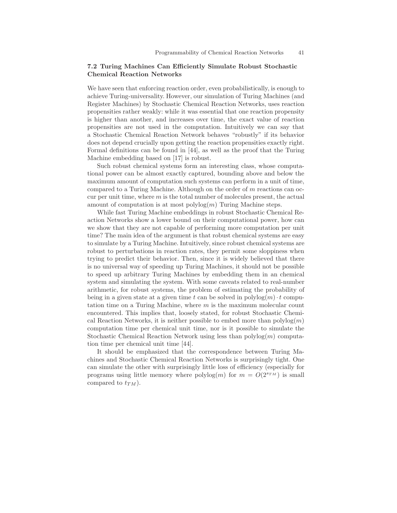## 7.2 Turing Machines Can Efficiently Simulate Robust Stochastic Chemical Reaction Networks

We have seen that enforcing reaction order, even probabilistically, is enough to achieve Turing-universality. However, our simulation of Turing Machines (and Register Machines) by Stochastic Chemical Reaction Networks, uses reaction propensities rather weakly: while it was essential that one reaction propensity is higher than another, and increases over time, the exact value of reaction propensities are not used in the computation. Intuitively we can say that a Stochastic Chemical Reaction Network behaves "robustly" if its behavior does not depend crucially upon getting the reaction propensities exactly right. Formal definitions can be found in [44], as well as the proof that the Turing Machine embedding based on [17] is robust.

Such robust chemical systems form an interesting class, whose computational power can be almost exactly captured, bounding above and below the maximum amount of computation such systems can perform in a unit of time, compared to a Turing Machine. Although on the order of m reactions can occur per unit time, where  $m$  is the total number of molecules present, the actual amount of computation is at most  $\text{polylog}(m)$  Turing Machine steps.

While fast Turing Machine embeddings in robust Stochastic Chemical Reaction Networks show a lower bound on their computational power, how can we show that they are not capable of performing more computation per unit time? The main idea of the argument is that robust chemical systems are easy to simulate by a Turing Machine. Intuitively, since robust chemical systems are robust to perturbations in reaction rates, they permit some sloppiness when trying to predict their behavior. Then, since it is widely believed that there is no universal way of speeding up Turing Machines, it should not be possible to speed up arbitrary Turing Machines by embedding them in an chemical system and simulating the system. With some caveats related to real-number arithmetic, for robust systems, the problem of estimating the probability of being in a given state at a given time t can be solved in  $\text{polylog}(m) \cdot t$  computation time on a Turing Machine, where  $m$  is the maximum molecular count encountered. This implies that, loosely stated, for robust Stochastic Chemical Reaction Networks, it is neither possible to embed more than  $\text{polylog}(m)$ computation time per chemical unit time, nor is it possible to simulate the Stochastic Chemical Reaction Network using less than  $\text{polylog}(m)$  computation time per chemical unit time [44].

It should be emphasized that the correspondence between Turing Machines and Stochastic Chemical Reaction Networks is surprisingly tight. One can simulate the other with surprisingly little loss of efficiency (especially for programs using little memory where  $\text{polylog}(m)$  for  $m = O(2^{s \tau M})$  is small compared to  $t_{TM}$ ).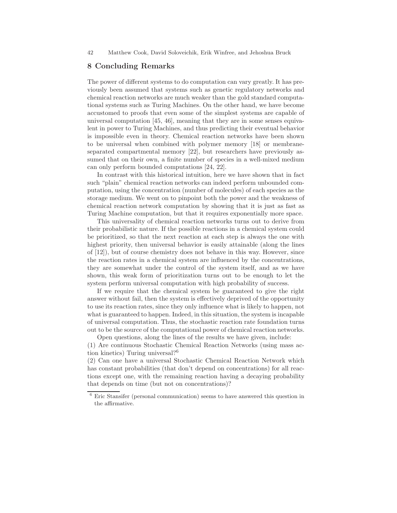## 8 Concluding Remarks

The power of different systems to do computation can vary greatly. It has previously been assumed that systems such as genetic regulatory networks and chemical reaction networks are much weaker than the gold standard computational systems such as Turing Machines. On the other hand, we have become accustomed to proofs that even some of the simplest systems are capable of universal computation [45, 46], meaning that they are in some senses equivalent in power to Turing Machines, and thus predicting their eventual behavior is impossible even in theory. Chemical reaction networks have been shown to be universal when combined with polymer memory [18] or membraneseparated compartmental memory [22], but researchers have previously assumed that on their own, a finite number of species in a well-mixed medium can only perform bounded computations [24, 22].

In contrast with this historical intuition, here we have shown that in fact such "plain" chemical reaction networks can indeed perform unbounded computation, using the concentration (number of molecules) of each species as the storage medium. We went on to pinpoint both the power and the weakness of chemical reaction network computation by showing that it is just as fast as Turing Machine computation, but that it requires exponentially more space.

This universality of chemical reaction networks turns out to derive from their probabilistic nature. If the possible reactions in a chemical system could be prioritized, so that the next reaction at each step is always the one with highest priority, then universal behavior is easily attainable (along the lines of [12]), but of course chemistry does not behave in this way. However, since the reaction rates in a chemical system are influenced by the concentrations, they are somewhat under the control of the system itself, and as we have shown, this weak form of prioritization turns out to be enough to let the system perform universal computation with high probability of success.

If we require that the chemical system be guaranteed to give the right answer without fail, then the system is effectively deprived of the opportunity to use its reaction rates, since they only influence what is likely to happen, not what is guaranteed to happen. Indeed, in this situation, the system is incapable of universal computation. Thus, the stochastic reaction rate foundation turns out to be the source of the computational power of chemical reaction networks. Open questions, along the lines of the results we have given, include:

(1) Are continuous Stochastic Chemical Reaction Networks (using mass action kinetics) Turing universal?<sup>6</sup>

(2) Can one have a universal Stochastic Chemical Reaction Network which has constant probabilities (that don't depend on concentrations) for all reactions except one, with the remaining reaction having a decaying probability that depends on time (but not on concentrations)?

<sup>6</sup> Eric Stansifer (personal communication) seems to have answered this question in the affirmative.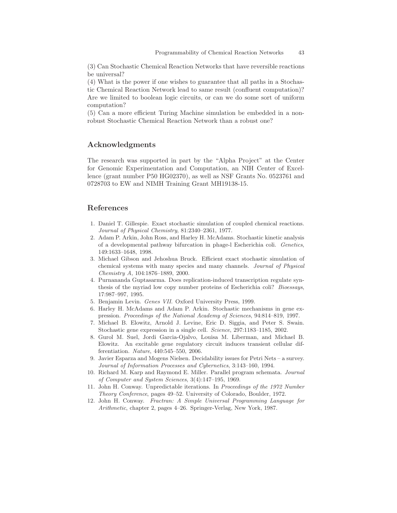(3) Can Stochastic Chemical Reaction Networks that have reversible reactions be universal?

(4) What is the power if one wishes to guarantee that all paths in a Stochastic Chemical Reaction Network lead to same result (confluent computation)? Are we limited to boolean logic circuits, or can we do some sort of uniform computation?

(5) Can a more efficient Turing Machine simulation be embedded in a nonrobust Stochastic Chemical Reaction Network than a robust one?

## Acknowledgments

The research was supported in part by the "Alpha Project" at the Center for Genomic Experimentation and Computation, an NIH Center of Excellence (grant number P50 HG02370), as well as NSF Grants No. 0523761 and 0728703 to EW and NIMH Training Grant MH19138-15.

## References

- 1. Daniel T. Gillespie. Exact stochastic simulation of coupled chemical reactions. Journal of Physical Chemistry, 81:2340–2361, 1977.
- 2. Adam P. Arkin, John Ross, and Harley H. McAdams. Stochastic kinetic analysis of a developmental pathway bifurcation in phage-l Escherichia coli. Genetics, 149:1633–1648, 1998.
- 3. Michael Gibson and Jehoshua Bruck. Efficient exact stochastic simulation of chemical systems with many species and many channels. Journal of Physical Chemistry A, 104:1876–1889, 2000.
- 4. Purnananda Guptasarma. Does replication-induced transcription regulate synthesis of the myriad low copy number proteins of Escherichia coli? Bioessays, 17:987–997, 1995.
- 5. Benjamin Levin. Genes VII. Oxford University Press, 1999.
- 6. Harley H. McAdams and Adam P. Arkin. Stochastic mechanisms in gene expression. Proceedings of the National Academy of Sciences, 94:814–819, 1997.
- 7. Michael B. Elowitz, Arnold J. Levine, Eric D. Siggia, and Peter S. Swain. Stochastic gene expression in a single cell. Science, 297:1183–1185, 2002.
- 8. Gurol M. Suel, Jordi Garcia-Ojalvo, Louisa M. Liberman, and Michael B. Elowitz. An excitable gene regulatory circuit induces transient cellular differentiation. Nature, 440:545–550, 2006.
- 9. Javier Esparza and Mogens Nielsen. Decidability issues for Petri Nets a survey. Journal of Information Processes and Cybernetics, 3:143–160, 1994.
- 10. Richard M. Karp and Raymond E. Miller. Parallel program schemata. Journal of Computer and System Sciences, 3(4):147–195, 1969.
- 11. John H. Conway. Unpredictable iterations. In Proceedings of the 1972 Number Theory Conference, pages 49–52. University of Colorado, Boulder, 1972.
- 12. John H. Conway. Fractran: A Simple Universal Programming Language for Arithmetic, chapter 2, pages 4–26. Springer-Verlag, New York, 1987.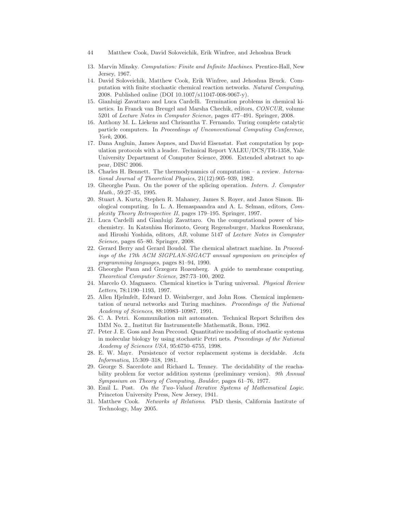- 44 Matthew Cook, David Soloveichik, Erik Winfree, and Jehoshua Bruck
- 13. Marvin Minsky. Computation: Finite and Infinite Machines. Prentice-Hall, New Jersey, 1967.
- 14. David Soloveichik, Matthew Cook, Erik Winfree, and Jehoshua Bruck. Computation with finite stochastic chemical reaction networks. Natural Computing, 2008. Published online (DOI 10.1007/s11047-008-9067-y).
- 15. Gianluigi Zavattaro and Luca Cardelli. Termination problems in chemical kinetics. In Franck van Breugel and Marsha Chechik, editors, CONCUR, volume 5201 of Lecture Notes in Computer Science, pages 477–491. Springer, 2008.
- 16. Anthony M. L. Liekens and Chrisantha T. Fernando. Turing complete catalytic particle computers. In Proceedings of Unconventional Computing Conference, York, 2006.
- 17. Dana Angluin, James Aspnes, and David Eisenstat. Fast computation by population protocols with a leader. Technical Report YALEU/DCS/TR-1358, Yale University Department of Computer Science, 2006. Extended abstract to appear, DISC 2006.
- 18. Charles H. Bennett. The thermodynamics of computation a review. International Journal of Theoretical Physics, 21(12):905–939, 1982.
- 19. Gheorghe Paun. On the power of the splicing operation. Intern. J. Computer Math., 59:27–35, 1995.
- 20. Stuart A. Kurtz, Stephen R. Mahaney, James S. Royer, and Janos Simon. Biological computing. In L. A. Hemaspaandra and A. L. Selman, editors, Complexity Theory Retrospective II, pages 179–195. Springer, 1997.
- 21. Luca Cardelli and Gianluigi Zavattaro. On the computational power of biochemistry. In Katsuhisa Horimoto, Georg Regensburger, Markus Rosenkranz, and Hiroshi Yoshida, editors, AB, volume 5147 of Lecture Notes in Computer Science, pages 65–80. Springer, 2008.
- 22. Gerard Berry and Gerard Boudol. The chemical abstract machine. In Proceedings of the 17th ACM SIGPLAN-SIGACT annual symposium on principles of programming languages, pages 81–94, 1990.
- 23. Gheorghe Paun and Grzegorz Rozenberg. A guide to membrane computing. Theoretical Computer Science, 287:73–100, 2002.
- 24. Marcelo O. Magnasco. Chemical kinetics is Turing universal. Physical Review Letters, 78:1190–1193, 1997.
- 25. Allen Hjelmfelt, Edward D. Weinberger, and John Ross. Chemical implementation of neural networks and Turing machines. Proceedings of the National Academy of Sciences, 88:10983–10987, 1991.
- 26. C. A. Petri. Kommunikation mit automaten. Technical Report Schriften des IMM No. 2., Institut für Instrumentelle Mathematik, Bonn, 1962.
- 27. Peter J. E. Goss and Jean Peccoud. Quantitative modeling of stochastic systems in molecular biology by using stochastic Petri nets. Proceedings of the National Academy of Sciences USA, 95:6750–6755, 1998.
- 28. E. W. Mayr. Persistence of vector replacement systems is decidable. Acta Informatica, 15:309–318, 1981.
- 29. George S. Sacerdote and Richard L. Tenney. The decidability of the reachability problem for vector addition systems (preliminary version). 9th Annual Symposium on Theory of Computing, Boulder, pages 61–76, 1977.
- 30. Emil L. Post. On the Two-Valued Iterative Systems of Mathematical Logic. Princeton University Press, New Jersey, 1941.
- 31. Matthew Cook. Networks of Relations. PhD thesis, California Institute of Technology, May 2005.